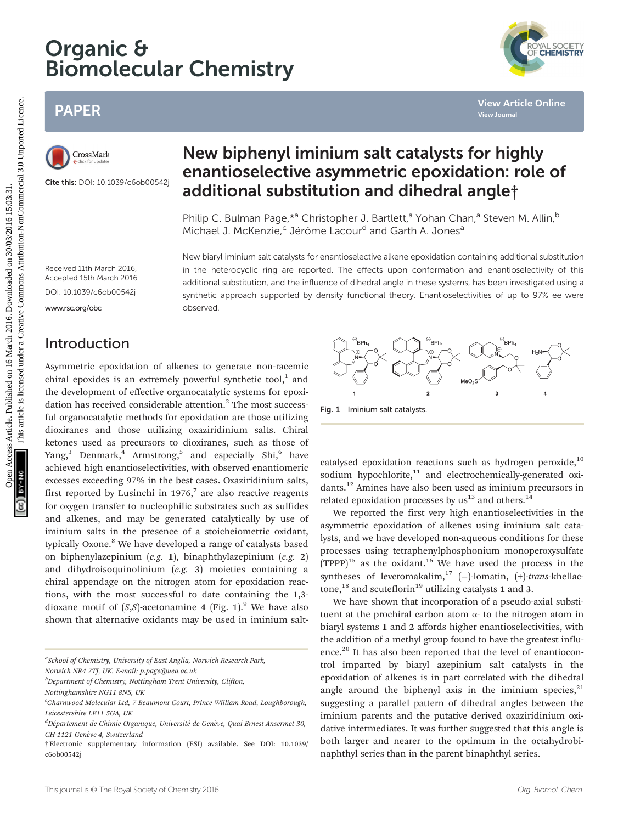# Organic & Biomolecular Chemistry

## PAPER



Cite this: DOI: 10.1039/c6ob00542j

## New biphenyl iminium salt catalysts for highly enantioselective asymmetric epoxidation: role of additional substitution and dihedral angle†

Philip C. Bulman Page, \*<sup>a</sup> Christopher J. Bartlett,<sup>a</sup> Yohan Chan,<sup>a</sup> Steven M. Allin,<sup>b</sup> Michael J. McKenzie,<sup>c</sup> Jérôme Lacour<sup>d</sup> and Garth A. Jones<sup>a</sup>

New biaryl iminium salt catalysts for enantioselective alkene epoxidation containing additional substitution in the heterocyclic ring are reported. The effects upon conformation and enantioselectivity of this additional substitution, and the influence of dihedral angle in these systems, has been investigated using a synthetic approach supported by density functional theory. Enantioselectivities of up to 97% ee were

Received 11th March 2016, Accepted 15th March 2016 DOI: 10.1039/c6ob00542j

<www.rsc.org/obc>

## Introduction

Asymmetric epoxidation of alkenes to generate non-racemic chiral epoxides is an extremely powerful synthetic tool, $1$  and the development of effective organocatalytic systems for epoxidation has received considerable attention.<sup>2</sup> The most successful organocatalytic methods for epoxidation are those utilizing dioxiranes and those utilizing oxaziridinium salts. Chiral ketones used as precursors to dioxiranes, such as those of Yang,<sup>3</sup> Denmark,<sup>4</sup> Armstrong,<sup>5</sup> and especially Shi,<sup>6</sup> have achieved high enantioselectivities, with observed enantiomeric excesses exceeding 97% in the best cases. Oxaziridinium salts, first reported by Lusinchi in 1976,<sup>7</sup> are also reactive reagents for oxygen transfer to nucleophilic substrates such as sulfides and alkenes, and may be generated catalytically by use of iminium salts in the presence of a stoicheiometric oxidant, typically Oxone.<sup>8</sup> We have developed a range of catalysts based on biphenylazepinium (e.g. 1), binaphthylazepinium (e.g. 2) and dihydroisoquinolinium (e.g. 3) moieties containing a chiral appendage on the nitrogen atom for epoxidation reactions, with the most successful to date containing the 1,3 dioxane motif of  $(S, S)$ -acetonamine 4 (Fig. 1).<sup>9</sup> We have also shown that alternative oxidants may be used in iminium salt-PAPER<br>
Considered the control of the control of the control of the control of the control of the control of the control of **additional substitution and dihedral angle**;<br>
Considered the control of **additional substitution** 

observed.

<sup>a</sup>School of Chemistry, University of East Anglia, Norwich Research Park, Norwich NR4 7TJ, UK. E-mail: p.page@uea.ac.uk

<sup>b</sup>Department of Chemistry, Nottingham Trent University, Clifton,



Fig. 1 Iminium salt catalysts.

catalysed epoxidation reactions such as hydrogen peroxide, $10$ sodium hypochlorite, $11$  and electrochemically-generated oxidants.<sup>12</sup> Amines have also been used as iminium precursors in related epoxidation processes by  $us^{13}$  and others.<sup>14</sup>

We reported the first very high enantioselectivities in the asymmetric epoxidation of alkenes using iminium salt catalysts, and we have developed non-aqueous conditions for these processes using tetraphenylphosphonium monoperoxysulfate  $(TPPP)^{15}$  as the oxidant.<sup>16</sup> We have used the process in the syntheses of levcromakalim,<sup>17</sup> (-)-lomatin, (+)-trans-khellactone,<sup>18</sup> and scuteflorin<sup>19</sup> utilizing catalysts 1 and 3.

We have shown that incorporation of a pseudo-axial substituent at the prochiral carbon atom  $α$ - to the nitrogen atom in biaryl systems 1 and 2 affords higher enantioselectivities, with the addition of a methyl group found to have the greatest influence.<sup>20</sup> It has also been reported that the level of enantiocontrol imparted by biaryl azepinium salt catalysts in the epoxidation of alkenes is in part correlated with the dihedral angle around the biphenyl axis in the iminium species, $21$ suggesting a parallel pattern of dihedral angles between the iminium parents and the putative derived oxaziridinium oxidative intermediates. It was further suggested that this angle is both larger and nearer to the optimum in the octahydrobinaphthyl series than in the parent binaphthyl series.



Nottinghamshire NG11 8NS, UK

c Charnwood Molecular Ltd, 7 Beaumont Court, Prince William Road, Loughborough, Leicestershire LE11 5GA, UK

<sup>&</sup>lt;sup>d</sup>Département de Chimie Organique, Université de Genève, Quai Ernest Ansermet 30, CH-1121 Genève 4, Switzerland

<sup>†</sup>Electronic supplementary information (ESI) available. See DOI: 10.1039/ c6ob00542j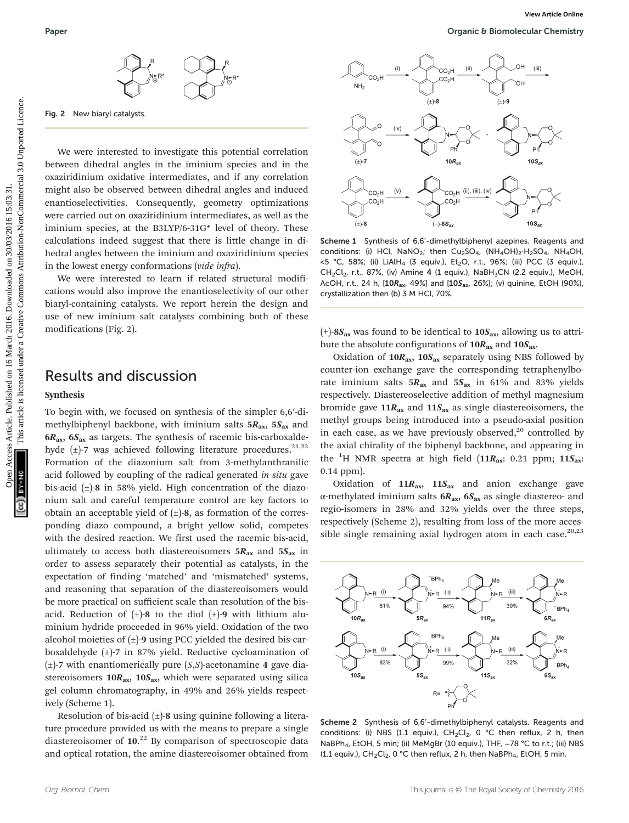

Fig. 2 New biaryl catalysts.

We were interested to investigate this potential correlation between dihedral angles in the iminium species and in the oxaziridinium oxidative intermediates, and if any correlation might also be observed between dihedral angles and induced enantioselectivities. Consequently, geometry optimizations were carried out on oxaziridinium intermediates, as well as the iminium species, at the B3LYP/6-31G\* level of theory. These calculations indeed suggest that there is little change in dihedral angles between the iminium and oxaziridinium species in the lowest energy conformations (vide infra).

We were interested to learn if related structural modifications would also improve the enantioselectivity of our other biaryl-containing catalysts. We report herein the design and use of new iminium salt catalysts combining both of these modifications (Fig. 2).

## Results and discussion

#### Synthesis

To begin with, we focused on synthesis of the simpler 6,6′-dimethylbiphenyl backbone, with iminium salts  $5R_{ax}$ ,  $5S_{ax}$  and  $6R_{\text{ax}}$ ,  $6S_{\text{ax}}$  as targets. The synthesis of racemic bis-carboxaldehyde  $(\pm)$ -7 was achieved following literature procedures.<sup>21,22</sup> Formation of the diazonium salt from 3-methylanthranilic acid followed by coupling of the radical generated in situ gave bis-acid  $(\pm)$ -8 in 58% yield. High concentration of the diazonium salt and careful temperature control are key factors to obtain an acceptable yield of  $(\pm)$ -8, as formation of the corresponding diazo compound, a bright yellow solid, competes with the desired reaction. We first used the racemic bis-acid, ultimately to access both diastereoisomers  $5R_{ax}$  and  $5S_{ax}$  in order to assess separately their potential as catalysts, in the expectation of finding 'matched' and 'mismatched' systems, and reasoning that separation of the diastereoisomers would be more practical on sufficient scale than resolution of the bisacid. Reduction of  $(\pm)$ -8 to the diol  $(\pm)$ -9 with lithium aluminium hydride proceeded in 96% yield. Oxidation of the two alcohol moieties of  $(\pm)$ -9 using PCC yielded the desired bis-carboxaldehyde (±)-7 in 87% yield. Reductive cycloamination of  $(\pm)$ -7 with enantiomerically pure  $(S, S)$ -acetonamine 4 gave diastereoisomers  $10R_{ax}$ ,  $10S_{ax}$ , which were separated using silica gel column chromatography, in 49% and 26% yields respectively (Scheme 1).

Resolution of bis-acid  $(\pm)$ -8 using quinine following a literature procedure provided us with the means to prepare a single diastereoisomer of 10.<sup>22</sup> By comparison of spectroscopic data and optical rotation, the amine diastereoisomer obtained from



Scheme 1 Synthesis of 6,6'-dimethylbiphenyl azepines. Reagents and conditions: (i) HCl, NaNO<sub>2</sub>; then Cu<sub>2</sub>SO<sub>4</sub>, (NH<sub>4</sub>OH)<sub>2</sub>·H<sub>2</sub>SO<sub>4</sub>, NH<sub>4</sub>OH,  $<$ 5 °C, 58%; (ii) LiAlH<sub>4</sub> (3 equiv.), Et<sub>2</sub>O, r.t., 96%; (iii) PCC (3 equiv.), CH<sub>2</sub>Cl<sub>2</sub>, r.t., 87%, (iv) Amine 4 (1 equiv.), NaBH<sub>3</sub>CN (2.2 equiv.), MeOH, AcOH, r.t., 24 h,  $[10R_{ax}$ , 49%] and  $[10S_{ax}$ , 26%]; (v) quinine, EtOH (90%), crystallization then (b) 3 M HCl, 70%.

 $(+)$ -8 $S_{ax}$  was found to be identical to 10 $S_{ax}$ , allowing us to attribute the absolute configurations of  $10R_{ax}$  and  $10S_{ax}$ .

Oxidation of  $10R_{ax}$ ,  $10S_{ax}$  separately using NBS followed by counter-ion exchange gave the corresponding tetraphenylborate iminium salts  $5R_{ax}$  and  $5S_{ax}$  in 61% and 83% yields respectively. Diastereoselective addition of methyl magnesium bromide gave  $11R_{ax}$  and  $11S_{ax}$  as single diastereoisomers, the methyl groups being introduced into a pseudo-axial position in each case, as we have previously observed, $20$  controlled by the axial chirality of the biphenyl backbone, and appearing in the <sup>1</sup>H NMR spectra at high field (11 $R_{\rm ax}$ : 0.21 ppm; 11 $S_{\rm ax}$ : 0.14 ppm).

Oxidation of  $11R_{ax}$ ,  $11S_{ax}$  and anion exchange gave α-methylated iminium salts  $6R_{ax}$ ,  $6S_{ax}$  as single diastereo- and regio-isomers in 28% and 32% yields over the three steps, respectively (Scheme 2), resulting from loss of the more accessible single remaining axial hydrogen atom in each case. $20,23$ 



Scheme 2 Synthesis of 6,6'-dimethylbiphenyl catalysts. Reagents and conditions: (i) NBS (1.1 equiv.),  $CH_2Cl_2$ , 0 °C then reflux, 2 h, then NaBPh<sub>4</sub>, EtOH, 5 min; (ii) MeMgBr (10 equiv.), THF, -78 °C to r.t.; (iii) NBS (1.1 equiv.),  $CH_2Cl_2$ , 0 °C then reflux, 2 h, then NaBPh<sub>4</sub>, EtOH, 5 min.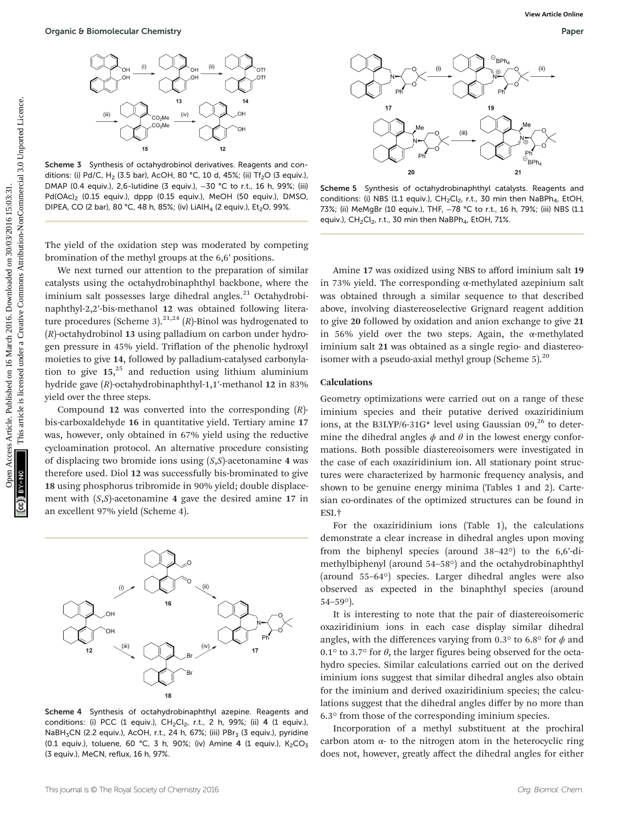

Scheme 3 Synthesis of octahydrobinol derivatives. Reagents and conditions: (i) Pd/C, H<sub>2</sub> (3.5 bar), AcOH, 80 °C, 10 d, 45%; (ii) Tf<sub>2</sub>O (3 equiv.), DMAP (0.4 equiv.), 2,6-lutidine (3 equiv.), -30 °C to r.t., 16 h, 99%; (iii) Pd(OAc)<sub>2</sub> (0.15 equiv.), dppp (0.15 equiv.), MeOH (50 equiv.), DMSO, DIPEA, CO (2 bar), 80 °C, 48 h, 85%; (iv) LiAlH<sub>4</sub> (2 equiv.), Et<sub>2</sub>O, 99%.

The yield of the oxidation step was moderated by competing bromination of the methyl groups at the 6,6′ positions.

We next turned our attention to the preparation of similar catalysts using the octahydrobinaphthyl backbone, where the iminium salt possesses large dihedral angles.<sup>21</sup> Octahydrobinaphthyl-2,2′-bis-methanol 12 was obtained following literature procedures (Scheme 3).<sup>21,24</sup> (R)-Binol was hydrogenated to (R)-octahydrobinol 13 using palladium on carbon under hydrogen pressure in 45% yield. Triflation of the phenolic hydroxyl moieties to give 14, followed by palladium-catalysed carbonylation to give 15, <sup>25</sup> and reduction using lithium aluminium hydride gave (R)-octahydrobinaphthyl-1,1′-methanol 12 in 83% yield over the three steps. Open C B Bornolecular Chemistry<br>
Context Article 2016. Published on 16 March 2016. Download context Article is an article is article. The context Article is license are a significant and the common and the creative Common

Compound 12 was converted into the corresponding  $(R)$ bis-carboxaldehyde 16 in quantitative yield. Tertiary amine 17 was, however, only obtained in 67% yield using the reductive cycloamination protocol. An alternative procedure consisting of displacing two bromide ions using  $(S, S)$ -acetonamine 4 was therefore used. Diol 12 was successfully bis-brominated to give 18 using phosphorus tribromide in 90% yield; double displacement with  $(S, S)$ -acetonamine 4 gave the desired amine 17 in an excellent 97% yield (Scheme 4).



Scheme 4 Synthesis of octahydrobinaphthyl azepine. Reagents and conditions: (i) PCC (1 equiv.),  $CH_2Cl_2$ , r.t., 2 h, 99%; (ii) 4 (1 equiv.), NaBH<sub>3</sub>CN (2.2 equiv.), AcOH, r.t., 24 h, 67%; (iii) PBr<sub>3</sub> (3 equiv.), pyridine (0.1 equiv.), toluene, 60 °C, 3 h, 90%; (iv) Amine 4 (1 equiv.),  $K_2CO_3$ (3 equiv.), MeCN, reflux, 16 h, 97%.





Scheme 5 Synthesis of octahydrobinaphthyl catalysts. Reagents and conditions: (i) NBS (1.1 equiv.), CH<sub>2</sub>Cl<sub>2</sub>, r.t., 30 min then NaBPh<sub>4</sub>, EtOH, 73%; (ii) MeMgBr (10 equiv.), THF, -78 °C to r.t., 16 h, 79%; (iii) NBS (1.1 equiv.),  $CH_2Cl_2$ , r.t., 30 min then NaBPh<sub>4</sub>, EtOH, 71%.

Amine 17 was oxidized using NBS to afford iminium salt 19 in 73% yield. The corresponding α-methylated azepinium salt was obtained through a similar sequence to that described above, involving diastereoselective Grignard reagent addition to give 20 followed by oxidation and anion exchange to give 21 in 56% yield over the two steps. Again, the α-methylated iminium salt 21 was obtained as a single regio- and diastereoisomer with a pseudo-axial methyl group (Scheme  $5$ ).<sup>20</sup>

#### Calculations

Geometry optimizations were carried out on a range of these iminium species and their putative derived oxaziridinium ions, at the B3LYP/6-31G\* level using Gaussian  $09<sub>1</sub><sup>26</sup>$  to determine the dihedral angles  $\phi$  and  $\theta$  in the lowest energy conformations. Both possible diastereoisomers were investigated in the case of each oxaziridinium ion. All stationary point structures were characterized by harmonic frequency analysis, and shown to be genuine energy minima (Tables 1 and 2). Cartesian co-ordinates of the optimized structures can be found in ESI.†

For the oxaziridinium ions (Table 1), the calculations demonstrate a clear increase in dihedral angles upon moving from the biphenyl species (around 38–42°) to the 6,6′-dimethylbiphenyl (around 54–58°) and the octahydrobinaphthyl (around 55–64°) species. Larger dihedral angles were also observed as expected in the binaphthyl species (around 54–59°).

It is interesting to note that the pair of diastereoisomeric oxaziridinium ions in each case display similar dihedral angles, with the differences varying from 0.3° to 6.8° for  $\phi$  and 0.1° to 3.7° for  $\theta$ , the larger figures being observed for the octahydro species. Similar calculations carried out on the derived iminium ions suggest that similar dihedral angles also obtain for the iminium and derived oxaziridinium species; the calculations suggest that the dihedral angles differ by no more than 6.3° from those of the corresponding iminium species.

Incorporation of a methyl substituent at the prochiral carbon atom α- to the nitrogen atom in the heterocyclic ring does not, however, greatly affect the dihedral angles for either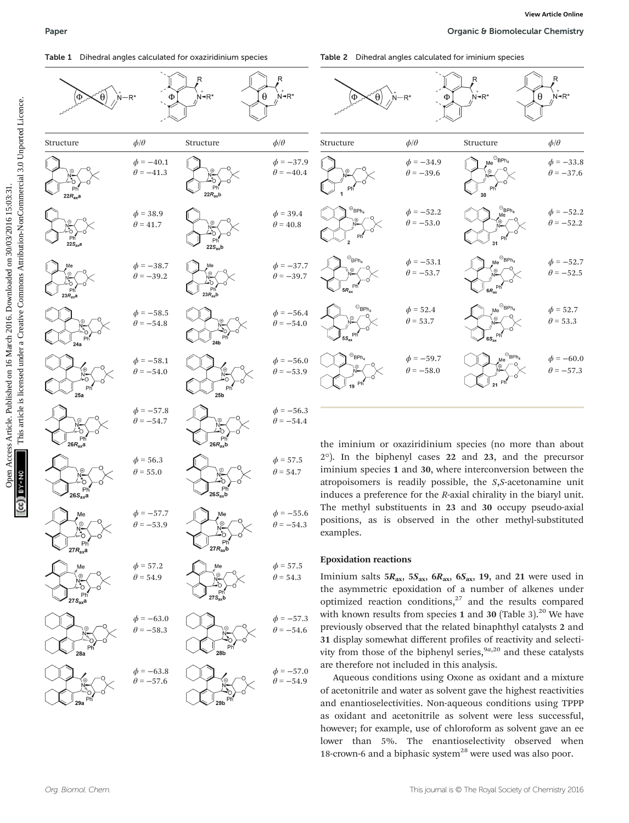

Table 2 Dihedral angles calculated for iminium species





the iminium or oxaziridinium species (no more than about 2°). In the biphenyl cases 22 and 23, and the precursor iminium species 1 and 30, where interconversion between the atropoisomers is readily possible, the S,S-acetonamine unit induces a preference for the R-axial chirality in the biaryl unit. The methyl substituents in 23 and 30 occupy pseudo-axial positions, as is observed in the other methyl-substituted examples.

#### Epoxidation reactions

Iminium salts  $5R_{ax}$ ,  $5S_{ax}$ ,  $6R_{ax}$ ,  $6S_{ax}$ , 19, and 21 were used in the asymmetric epoxidation of a number of alkenes under optimized reaction conditions, $27$  and the results compared with known results from species 1 and 30 (Table 3).<sup>20</sup> We have previously observed that the related binaphthyl catalysts 2 and 31 display somewhat different profiles of reactivity and selectivity from those of the biphenyl series,  $9a,20$  and these catalysts are therefore not included in this analysis.

Aqueous conditions using Oxone as oxidant and a mixture of acetonitrile and water as solvent gave the highest reactivities and enantioselectivities. Non-aqueous conditions using TPPP as oxidant and acetonitrile as solvent were less successful, however; for example, use of chloroform as solvent gave an ee lower than 5%. The enantioselectivity observed when 18-crown-6 and a biphasic system $^{28}$  were used was also poor.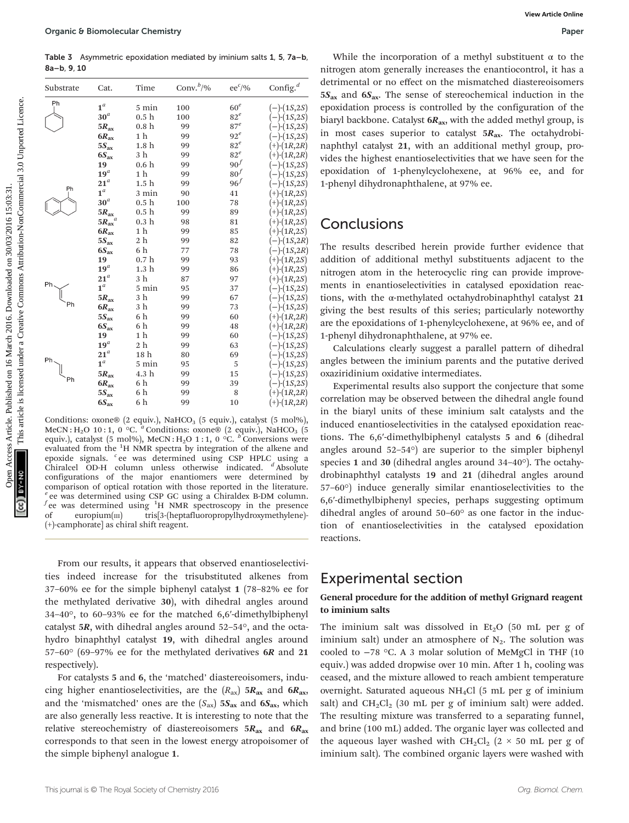Table 3 Asymmetric epoxidation mediated by iminium salts 1, 5, 7a–b, 8a–b, 9, 10

| 8a-b, 9, 10<br>Substrate                                                                                                                                                                            | Cat.                              | Time                                 | Conv. $b$ /%                                                                                                                          | $ee^{c}/\%$               | $\mathop{\mathrm{Config}}\nolimits^{d}$  | nitrogen atom generally increases the enantiocontrol, it has a<br>detrimental or no effect on the mismatched diastereoisomers |
|-----------------------------------------------------------------------------------------------------------------------------------------------------------------------------------------------------|-----------------------------------|--------------------------------------|---------------------------------------------------------------------------------------------------------------------------------------|---------------------------|------------------------------------------|-------------------------------------------------------------------------------------------------------------------------------|
| Ph                                                                                                                                                                                                  |                                   |                                      |                                                                                                                                       |                           |                                          | $5S_{ax}$ and $6S_{ax}$ . The sense of stereochemical induction in the                                                        |
|                                                                                                                                                                                                     | $\mathbf{1}^a$<br>30 <sup>a</sup> | 5 min                                | 100                                                                                                                                   | 60 <sup>e</sup><br>$82^e$ | $(-)$ - $(1S, 2S)$                       | epoxidation process is controlled by the configuration of the                                                                 |
|                                                                                                                                                                                                     |                                   | 0.5 <sub>h</sub><br>0.8 <sub>h</sub> | 100<br>99                                                                                                                             | $87^e$                    | $(-)$ - $(1S, 2S)$                       | biaryl backbone. Catalyst $6R_{ax}$ , with the added methyl group, is                                                         |
|                                                                                                                                                                                                     | $5R_{\rm ax}$                     | 1 h                                  | 99                                                                                                                                    | $92^e$                    | $(-)$ - $(1S, 2S)$<br>$(-)$ - $(1S, 2S)$ | in most cases superior to catalyst $5R_{ax}$ . The octahydrobi-                                                               |
|                                                                                                                                                                                                     | $6R_{\rm ax}$<br>$5S_{\rm ax}$    | 1.8 h                                | 99                                                                                                                                    | $82^e$                    | $(+)$ - $(1R, 2R)$                       | naphthyl catalyst 21, with an additional methyl group, pro                                                                    |
|                                                                                                                                                                                                     | $6S_{\rm ax}$                     | 3 h                                  | 99                                                                                                                                    | $82^e$                    | $(+)$ - $(1R, 2R)$                       |                                                                                                                               |
|                                                                                                                                                                                                     | 19                                | 0.6 <sub>h</sub>                     | 99                                                                                                                                    | $90^f$                    | $(-)$ - $(1S, 2S)$                       | vides the highest enantioselectivities that we have seen for the                                                              |
|                                                                                                                                                                                                     | $\mathbf{19}^a$                   | 1 h                                  | 99                                                                                                                                    | $80^f$                    | $(-)$ - $(1S, 2S)$                       | epoxidation of 1-phenylcyclohexene, at 96% ee, and for                                                                        |
|                                                                                                                                                                                                     | $21^a$                            | 1.5 <sub>h</sub>                     | 99                                                                                                                                    | $96^f$                    | $(-)$ - $(1S, 2S)$                       | 1-phenyl dihydronaphthalene, at 97% ee.                                                                                       |
|                                                                                                                                                                                                     | $1^a$                             | 3 min                                | 90                                                                                                                                    | 41                        | $(+)$ - $(1R, 2S)$                       |                                                                                                                               |
|                                                                                                                                                                                                     | $30^a$                            | 0.5 <sub>h</sub>                     | 100                                                                                                                                   | 78                        | $(+)$ - $(1R, 2S)$                       |                                                                                                                               |
|                                                                                                                                                                                                     | $5R_{\rm ax}$                     | 0.5 <sub>h</sub>                     | 99                                                                                                                                    | 89                        | $(+)$ - $(1R, 2S)$                       |                                                                                                                               |
|                                                                                                                                                                                                     | $5R_{\rm ax}$                     | 0.3 <sub>h</sub>                     | 98                                                                                                                                    | 81                        | $(+)$ - $(1R,2S)$                        | Conclusions                                                                                                                   |
|                                                                                                                                                                                                     | $6R_{\rm ax}$                     | 1 h                                  | 99                                                                                                                                    | 85                        | $(+)$ - $(1R,2S)$                        |                                                                                                                               |
|                                                                                                                                                                                                     | $5S_{\rm ax}$                     | 2 h                                  | 99                                                                                                                                    | 82                        | $(-)$ - $(1S, 2R)$                       |                                                                                                                               |
|                                                                                                                                                                                                     | $6S_{\rm ax}$                     | 6 h                                  | 77                                                                                                                                    | 78                        | $(-)$ - $(1S, 2R)$                       | The results described herein provide further evidence that                                                                    |
|                                                                                                                                                                                                     | 19                                | 0.7 <sub>h</sub>                     | 99                                                                                                                                    | 93                        | $(+)$ - $(1R,2S)$                        | addition of additional methyl substituents adjacent to the                                                                    |
|                                                                                                                                                                                                     | $19^a$                            | 1.3 <sub>h</sub>                     | 99                                                                                                                                    | 86                        | $(+)$ - $(1R, 2S)$                       | nitrogen atom in the heterocyclic ring can provide improve                                                                    |
|                                                                                                                                                                                                     | $21^a$                            | 3 h                                  | 87                                                                                                                                    | 97                        | $(+)$ - $(1R, 2S)$                       | ments in enantioselectivities in catalysed epoxidation reac                                                                   |
|                                                                                                                                                                                                     | $\mathbf{1}^a$                    | 5 min                                | 95                                                                                                                                    | 37                        | $(-)$ - $(1S, 2S)$                       |                                                                                                                               |
|                                                                                                                                                                                                     | $5R_{\text{ax}}$                  | 3 h                                  | 99                                                                                                                                    | 67                        | $(-)$ - $(1S, 2S)$                       | tions, with the $\alpha$ -methylated octahydrobinaphthyl catalyst 21                                                          |
|                                                                                                                                                                                                     | $6R_{\rm ax}$                     | 3 h                                  | 99                                                                                                                                    | 73                        | $(-)$ - $(1S, 2S)$                       | giving the best results of this series; particularly noteworthy                                                               |
|                                                                                                                                                                                                     | $5S_{ax}$                         | 6 h                                  | 99                                                                                                                                    | 60                        | $(+)$ - $(1R, 2R)$                       | are the epoxidations of 1-phenylcyclohexene, at 96% ee, and of                                                                |
|                                                                                                                                                                                                     | $6S_{\rm ax}$<br>19               | 6 h<br>1 h                           | 99<br>99                                                                                                                              | 48<br>60                  | $(+)$ - $(1R, 2R)$<br>$(-)$ - $(1S, 2S)$ | 1-phenyl dihydronaphthalene, at 97% ee.                                                                                       |
|                                                                                                                                                                                                     | $19^a$                            | 2 <sub>h</sub>                       | 99                                                                                                                                    | 63                        | $(-)$ - $(1S, 2S)$                       |                                                                                                                               |
|                                                                                                                                                                                                     | $21^a$                            | 18 h                                 | 80                                                                                                                                    | 69                        | $(-)$ - $(1S, 2S)$                       | Calculations clearly suggest a parallel pattern of dihedral                                                                   |
|                                                                                                                                                                                                     | $\mathbf{1}^a$                    | 5 min                                | 95                                                                                                                                    | 5                         | $(-)$ - $(1S, 2S)$                       | angles between the iminium parents and the putative derived                                                                   |
|                                                                                                                                                                                                     | $5R_{\text{ax}}$                  | 4.3 h                                | 99                                                                                                                                    | 15                        | $(-)$ - $(1S, 2S)$                       | oxaziridinium oxidative intermediates.                                                                                        |
|                                                                                                                                                                                                     | $6R_{\text{ax}}$                  | 6 h                                  | 99                                                                                                                                    | 39                        | $(-)$ - $(1S, 2S)$                       | Experimental results also support the conjecture that some                                                                    |
|                                                                                                                                                                                                     | $5S_{ax}$                         | 6 h                                  | 99                                                                                                                                    | 8                         | $(+)$ - $(1R, 2R)$                       |                                                                                                                               |
|                                                                                                                                                                                                     | $6S_{\rm ax}$                     | 6 h                                  | 99                                                                                                                                    | 10                        | $(+)$ - $(1R, 2R)$                       | correlation may be observed between the dihedral angle found                                                                  |
|                                                                                                                                                                                                     |                                   |                                      |                                                                                                                                       |                           |                                          | in the biaryl units of these iminium salt catalysts and the                                                                   |
| Conditions: oxone® (2 equiv.), NaHCO <sub>3</sub> (5 equiv.), catalyst (5 mol%),                                                                                                                    |                                   |                                      |                                                                                                                                       |                           |                                          | induced enantioselectivities in the catalysed epoxidation reac                                                                |
| MeCN: H <sub>2</sub> O 10:1, 0 °C. <sup>a</sup> Conditions: oxone® (2 equiv.), NaHCO <sub>3</sub> (5<br>equiv.), catalyst (5 mol%), MeCN: H <sub>2</sub> O 1:1, 0 °C. <sup>b</sup> Conversions were |                                   |                                      |                                                                                                                                       |                           |                                          | tions. The 6,6'-dimethylbiphenyl catalysts 5 and 6 (dihedra                                                                   |
|                                                                                                                                                                                                     |                                   |                                      |                                                                                                                                       |                           |                                          |                                                                                                                               |
| evaluated from the <sup>1</sup> H NMR spectra by integration of the alkene and<br>epoxide signals. <sup>c</sup> ee was determined using CSP HPLC using a                                            |                                   |                                      |                                                                                                                                       |                           |                                          | angles around $52-54^{\circ}$ ) are superior to the simpler bipheny                                                           |
|                                                                                                                                                                                                     |                                   |                                      |                                                                                                                                       |                           |                                          | species 1 and 30 (dihedral angles around $34-40^{\circ}$ ). The octahy                                                        |
|                                                                                                                                                                                                     |                                   |                                      | Chiralcel OD-H column unless otherwise indicated. <sup>d</sup> Absolute<br>configurations of the major enantiomers were determined by |                           |                                          | drobinaphthyl catalysts 19 and 21 (dihedral angles around                                                                     |
|                                                                                                                                                                                                     |                                   |                                      | comparison of optical rotation with those reported in the literature                                                                  |                           |                                          | $F7(00)$ induce generally similar epertiacologication to the                                                                  |
|                                                                                                                                                                                                     |                                   |                                      |                                                                                                                                       |                           |                                          |                                                                                                                               |

Conditions: oxone® (2 equiv.), NaHCO<sub>3</sub> (5 equiv.), catalyst (5 mol%), MeCN : H<sub>2</sub>O 10 : 1, 0 °C. <sup>*a*</sup> Conditions: oxone® (2 equiv.), NaHCO<sub>3</sub> (5 equiv.), catalyst (5 mol%), MeCN : H<sub>2</sub>O 1 : 1, 0 °C. <sup>b</sup> Conversions were evaluated from the <sup>1</sup>H NMR spectra by integration of the alkene and epoxide signals. <sup>c</sup> ee was determined using CSP HPLC using a Chiralcel OD-H column unless otherwise indicated. <sup>d</sup> Absolute configurations of the major enantiomers were determined by comparison of optical rotation with those reported in the literature.  $e$ ee was determined using CSP GC using a Chiraldex B-DM column.  $f$ ee was determined using <sup>1</sup>H NMR spectroscopy in the presence of europium(m) tris[3-(heptafluoropropylhydroxymethylene)-(+)-camphorate] as chiral shift reagent.

From our results, it appears that observed enantioselectivities indeed increase for the trisubstituted alkenes from 37–60% ee for the simple biphenyl catalyst 1 (78–82% ee for the methylated derivative 30), with dihedral angles around 34–40°, to 60–93% ee for the matched 6,6′-dimethylbiphenyl catalyst 5R, with dihedral angles around 52–54°, and the octahydro binaphthyl catalyst 19, with dihedral angles around 57–60° (69–97% ee for the methylated derivatives 6R and 21 respectively).

For catalysts 5 and 6, the 'matched' diastereoisomers, inducing higher enantioselectivities, are the  $(R_{ax})$  5 $R_{ax}$  and 6 $R_{ax}$ , and the 'mismatched' ones are the  $(S_{ax})$  5 $S_{ax}$  and 6 $S_{ax}$ , which are also generally less reactive. It is interesting to note that the relative stereochemistry of diastereoisomers  $5R_{ax}$  and  $6R_{ax}$ corresponds to that seen in the lowest energy atropoisomer of the simple biphenyl analogue 1.

## **Conclusions**

Experimental results also support the conjecture that some correlation may be observed between the dihedral angle found in the biaryl units of these iminium salt catalysts and the induced enantioselectivities in the catalysed epoxidation reactions. The 6,6′-dimethylbiphenyl catalysts 5 and 6 (dihedral angles around 52–54°) are superior to the simpler biphenyl species 1 and 30 (dihedral angles around 34–40°). The octahydrobinaphthyl catalysts 19 and 21 (dihedral angles around 57–60°) induce generally similar enantioselectivities to the 6,6′-dimethylbiphenyl species, perhaps suggesting optimum dihedral angles of around 50–60° as one factor in the induction of enantioselectivities in the catalysed epoxidation reactions.

### Experimental section

#### General procedure for the addition of methyl Grignard reagent to iminium salts

The iminium salt was dissolved in  $Et<sub>2</sub>O$  (50 mL per g of iminium salt) under an atmosphere of  $N_2$ . The solution was cooled to −78 °C. A 3 molar solution of MeMgCl in THF (10 equiv.) was added dropwise over 10 min. After 1 h, cooling was ceased, and the mixture allowed to reach ambient temperature overnight. Saturated aqueous NH4Cl (5 mL per g of iminium salt) and  $CH_2Cl_2$  (30 mL per g of iminium salt) were added. The resulting mixture was transferred to a separating funnel, and brine (100 mL) added. The organic layer was collected and the aqueous layer washed with  $CH_2Cl_2$  (2 × 50 mL per g of iminium salt). The combined organic layers were washed with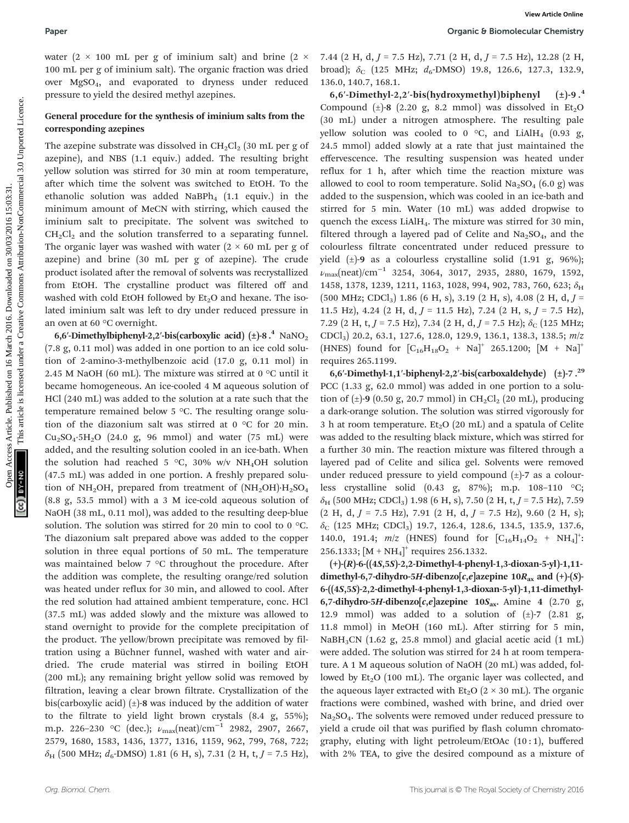#### Paper **Paper** Chemistry **Paper** Chemistry **Chemistry** *Chemistry* **Chemistry** *Chemistry**Chemistry**Chemistry**Chemistry**Chemistry**Chemistry**Chemistry**Chemistry**Chemistry**Chemistry**Chemistry**Chemistry*

water (2  $\times$  100 mL per g of iminium salt) and brine (2  $\times$ 100 mL per g of iminium salt). The organic fraction was dried over MgSO4, and evaporated to dryness under reduced pressure to yield the desired methyl azepines.

#### General procedure for the synthesis of iminium salts from the corresponding azepines

The azepine substrate was dissolved in  $CH_2Cl_2$  (30 mL per g of azepine), and NBS (1.1 equiv.) added. The resulting bright yellow solution was stirred for 30 min at room temperature, after which time the solvent was switched to EtOH. To the ethanolic solution was added NaBPh<sub>4</sub>  $(1.1 \text{ equiv.})$  in the minimum amount of MeCN with stirring, which caused the iminium salt to precipitate. The solvent was switched to  $CH<sub>2</sub>Cl<sub>2</sub>$  and the solution transferred to a separating funnel. The organic layer was washed with water  $(2 \times 60 \text{ mL per g of})$ azepine) and brine (30 mL per g of azepine). The crude product isolated after the removal of solvents was recrystallized from EtOH. The crystalline product was filtered off and washed with cold EtOH followed by  $Et<sub>2</sub>O$  and hexane. The isolated iminium salt was left to dry under reduced pressure in an oven at 60 °C overnight.

6,6'-Dimethylbiphenyl-2,2'-bis(carboxylic acid)  $(\pm)$ -8.<sup>4</sup> NaNO<sub>2</sub> (7.8 g, 0.11 mol) was added in one portion to an ice cold solution of 2-amino-3-methylbenzoic acid (17.0 g, 0.11 mol) in 2.45 M NaOH (60 mL). The mixture was stirred at 0  $\degree$ C until it became homogeneous. An ice-cooled 4 M aqueous solution of HCl (240 mL) was added to the solution at a rate such that the temperature remained below 5 °C. The resulting orange solution of the diazonium salt was stirred at 0 °C for 20 min.  $Cu<sub>2</sub>SO<sub>4</sub>·5H<sub>2</sub>O$  (24.0 g, 96 mmol) and water (75 mL) were added, and the resulting solution cooled in an ice-bath. When the solution had reached 5 °C, 30% w/v NH<sub>4</sub>OH solution (47.5 mL) was added in one portion. A freshly prepared solution of NH<sub>2</sub>OH, prepared from treatment of  $(NH_2OH) \cdot H_2SO_4$ (8.8 g, 53.5 mmol) with a 3 M ice-cold aqueous solution of NaOH (38 mL, 0.11 mol), was added to the resulting deep-blue solution. The solution was stirred for 20 min to cool to 0 °C. The diazonium salt prepared above was added to the copper solution in three equal portions of 50 mL. The temperature was maintained below 7 °C throughout the procedure. After the addition was complete, the resulting orange/red solution was heated under reflux for 30 min, and allowed to cool. After the red solution had attained ambient temperature, conc. HCl (37.5 mL) was added slowly and the mixture was allowed to stand overnight to provide for the complete precipitation of the product. The yellow/brown precipitate was removed by filtration using a Büchner funnel, washed with water and airdried. The crude material was stirred in boiling EtOH (200 mL); any remaining bright yellow solid was removed by filtration, leaving a clear brown filtrate. Crystallization of the bis(carboxylic acid)  $(\pm)$ -8 was induced by the addition of water to the filtrate to yield light brown crystals (8.4 g, 55%); m.p. 226–230 °C (dec.);  $\nu_{\text{max}}(\text{neat})/\text{cm}^{-1}$  2982, 2907, 2667, 2579, 1680, 1583, 1436, 1377, 1316, 1159, 962, 799, 768, 722;  $\delta_H$  (500 MHz;  $d_6$ -DMSO) 1.81 (6 H, s), 7.31 (2 H, t, J = 7.5 Hz),

7.44 (2 H, d,  $J = 7.5$  Hz), 7.71 (2 H, d,  $J = 7.5$  Hz), 12.28 (2 H, broad);  $\delta_c$  (125 MHz;  $d_6$ -DMSO) 19.8, 126.6, 127.3, 132.9, 136.0, 140.7, 168.1.

6,6′-Dimethyl-2,2′-bis(hydroxymethyl)biphenyl ( $\pm$ )-9.<sup>4</sup> Compound  $(\pm)$ -8 (2.20 g, 8.2 mmol) was dissolved in Et<sub>2</sub>O (30 mL) under a nitrogen atmosphere. The resulting pale yellow solution was cooled to 0  $\degree$ C, and LiAlH<sub>4</sub> (0.93 g, 24.5 mmol) added slowly at a rate that just maintained the effervescence. The resulting suspension was heated under reflux for 1 h, after which time the reaction mixture was allowed to cool to room temperature. Solid  $Na<sub>2</sub>SO<sub>4</sub>$  (6.0 g) was added to the suspension, which was cooled in an ice-bath and stirred for 5 min. Water (10 mL) was added dropwise to quench the excess LiAlH<sub>4</sub>. The mixture was stirred for 30 min, filtered through a layered pad of Celite and  $Na<sub>2</sub>SO<sub>4</sub>$ , and the colourless filtrate concentrated under reduced pressure to yield  $(\pm)$ -9 as a colourless crystalline solid  $(1.91 \text{ g}, 96\%)$ ;  $\nu_{\text{max}}(\text{neat})/\text{cm}^{-1}$  3254, 3064, 3017, 2935, 2880, 1679, 1592, 1458, 1378, 1239, 1211, 1163, 1028, 994, 902, 783, 760, 623; δ<sub>H</sub>  $(500 \text{ MHz}; \text{CDCl}_3)$  1.86 (6 H, s), 3.19 (2 H, s), 4.08 (2 H, d, J = 11.5 Hz), 4.24 (2 H, d,  $J = 11.5$  Hz), 7.24 (2 H, s,  $J = 7.5$  Hz), 7.29 (2 H, t,  $J = 7.5$  Hz), 7.34 (2 H, d,  $J = 7.5$  Hz);  $\delta_c$  (125 MHz; CDCl3) 20.2, 63.1, 127.6, 128.0, 129.9, 136.1, 138.3, 138.5; m/z (HNES) found for  $[C_{16}H_{18}O_2 + Na]^+$  265.1200;  $[M + Na]^+$ requires 265.1199. Paper<br>
Versine Between Access Article 2 × 7.41 (3 H, d,  $j$  - 7.5 Hz), 7.71 (2 H, d,  $j$  - 7.5 Hz), 328 (3 H<br>
10 on the paper in common access Article is licensed under a consider the space of involved the density of the<br>

6,6′-Dimethyl-1,1′-biphenyl-2,2′-bis(carboxaldehyde)  $(\pm)$ -7.<sup>29</sup> PCC (1.33 g, 62.0 mmol) was added in one portion to a solution of  $(\pm)$ -9 (0.50 g, 20.7 mmol) in CH<sub>2</sub>Cl<sub>2</sub> (20 mL), producing a dark-orange solution. The solution was stirred vigorously for 3 h at room temperature. Et<sub>2</sub>O (20 mL) and a spatula of Celite was added to the resulting black mixture, which was stirred for a further 30 min. The reaction mixture was filtered through a layered pad of Celite and silica gel. Solvents were removed under reduced pressure to yield compound  $(\pm)$ -7 as a colourless crystalline solid (0.43 g, 87%); m.p. 108–110 °C;  $\delta_H$  (500 MHz; CDCl<sub>3</sub>) 1.98 (6 H, s), 7.50 (2 H, t, J = 7.5 Hz), 7.59  $(2 H, d, J = 7.5 Hz)$ , 7.91  $(2 H, d, J = 7.5 Hz)$ , 9.60  $(2 H, s)$ ;  $\delta_C$  (125 MHz; CDCl<sub>3</sub>) 19.7, 126.4, 128.6, 134.5, 135.9, 137.6, 140.0, 191.4;  $m/z$  (HNES) found for  $[C_{16}H_{14}O_2 + NH_4]^+$ : 256.1333;  $[M + NH<sub>4</sub>]<sup>+</sup>$  requires 256.1332.

(+)-(R)-6-((4S,5S)-2,2-Dimethyl-4-phenyl-1,3-dioxan-5-yl)-1,11 dimethyl-6,7-dihydro-5H-dibenzo[c,e]azepine  $10R_{ax}$  and  $(+)$ - $(S)$ -6-((4S,5S)-2,2-dimethyl-4-phenyl-1,3-dioxan-5-yl)-1,11-dimethyl-6,7-dihydro-5H-dibenzo[c,e]azepine  $10S_{\text{ax}}$ . Amine 4 (2.70 g, 12.9 mmol) was added to a solution of  $(\pm)$ -7 (2.81 g, 11.8 mmol) in MeOH (160 mL). After stirring for 5 min, NaBH3CN (1.62 g, 25.8 mmol) and glacial acetic acid (1 mL) were added. The solution was stirred for 24 h at room temperature. A 1 M aqueous solution of NaOH (20 mL) was added, followed by  $Et<sub>2</sub>O$  (100 mL). The organic layer was collected, and the aqueous layer extracted with  $Et<sub>2</sub>O$  (2 × 30 mL). The organic fractions were combined, washed with brine, and dried over  $Na<sub>2</sub>SO<sub>4</sub>$ . The solvents were removed under reduced pressure to yield a crude oil that was purified by flash column chromatography, eluting with light petroleum/EtOAc (10 : 1), buffered with 2% TEA, to give the desired compound as a mixture of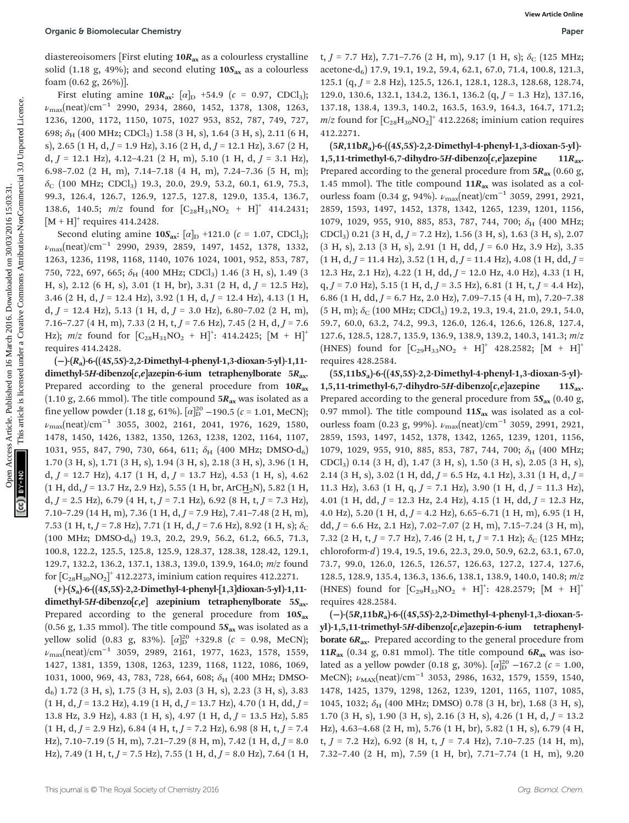diastereoisomers [First eluting  $10R_{ax}$  as a colourless crystalline solid (1.18 g, 49%); and second eluting  $10S_{ax}$  as a colourless foam (0.62 g, 26%)].

First eluting amine  $10R_{ax}$ :  $\left[\alpha\right]_D$  +54.9 (c = 0.97, CDCl<sub>3</sub>); νmax(neat)/cm<sup>−</sup><sup>1</sup> 2990, 2934, 2860, 1452, 1378, 1308, 1263, 1236, 1200, 1172, 1150, 1075, 1027 953, 852, 787, 749, 727, 698;  $\delta_H$  (400 MHz; CDCl<sub>3</sub>) 1.58 (3 H, s), 1.64 (3 H, s), 2.11 (6 H, s), 2.65 (1 H, d,  $J = 1.9$  Hz), 3.16 (2 H, d,  $J = 12.1$  Hz), 3.67 (2 H, d,  $J = 12.1$  Hz), 4.12-4.21 (2 H, m), 5.10 (1 H, d,  $J = 3.1$  Hz), 6.98–7.02 (2 H, m), 7.14–7.18 (4 H, m), 7.24–7.36 (5 H, m);  $\delta_c$  (100 MHz; CDCl<sub>3</sub>) 19.3, 20.0, 29.9, 53.2, 60.1, 61.9, 75.3, 99.3, 126.4, 126.7, 126.9, 127.5, 127.8, 129.0, 135.4, 136.7, 138.6, 140.5;  $m/z$  found for  $[C_{28}H_{31}NO_2 + H]^+$  414.2431;  $[M + H]^{+}$  requires 414.2428.

Second eluting amine  $10S_{ax}$ :  $\left[\alpha\right]_D$  +121.0 ( $c = 1.07$ , CDCl<sub>3</sub>);  $\nu_{\text{max}}$ (neat)/cm<sup>-1</sup> 2990, 2939, 2859, 1497, 1452, 1378, 1332, 1263, 1236, 1198, 1168, 1140, 1076 1024, 1001, 952, 853, 787, 750, 722, 697, 665; δ<sub>H</sub> (400 MHz; CDCl<sub>3</sub>) 1.46 (3 H, s), 1.49 (3 H, s), 2.12 (6 H, s), 3.01 (1 H, br), 3.31 (2 H, d,  $J = 12.5$  Hz), 3.46 (2 H, d,  $J = 12.4$  Hz), 3.92 (1 H, d,  $J = 12.4$  Hz), 4.13 (1 H, d,  $J = 12.4$  Hz), 5.13 (1 H, d,  $J = 3.0$  Hz), 6.80–7.02 (2 H, m), 7.16–7.27 (4 H, m), 7.33 (2 H, t,  $J = 7.6$  Hz), 7.45 (2 H, d,  $J = 7.6$ Hz);  $m/z$  found for  $[C_{28}H_{31}NO_2 + H]^+$ : 414.2425;  $[M + H]^+$ requires 414.2428.

(−)-(Ra)-6-((4S,5S)-2,2-Dimethyl-4-phenyl-1,3-dioxan-5-yl)-1,11 dimethyl-5H-dibenzo[c,e]azepin-6-ium tetraphenylborate  $5R_{ax}$ . Prepared according to the general procedure from  $10R_{ax}$ (1.10 g, 2.66 mmol). The title compound  $5R_{ax}$  was isolated as a fine yellow powder (1.18 g, 61%).  $[\alpha]_D^{20}$  –190.5 ( $c = 1.01$ , MeCN);  $\nu_{\text{max}}(\text{neat})/\text{cm}^{-1}$  3055, 3002, 2161, 2041, 1976, 1629, 1580, 1478, 1450, 1426, 1382, 1350, 1263, 1238, 1202, 1164, 1107, 1031, 955, 847, 790, 730, 664, 611;  $\delta_H$  (400 MHz; DMSO-d<sub>6</sub>) 1.70 (3 H, s), 1.71 (3 H, s), 1.94 (3 H, s), 2.18 (3 H, s), 3.96 (1 H, d,  $J = 12.7$  Hz),  $4.17$  (1 H, d,  $J = 13.7$  Hz),  $4.53$  (1 H, s),  $4.62$  $(1 H, dd, J = 13.7 Hz, 2.9 Hz)$ , 5.55  $(1 H, br, ArCH<sub>2</sub>N)$ , 5.82  $(1 H,$  $d, J = 2.5$  Hz), 6.79 (4 H, t,  $J = 7.1$  Hz), 6.92 (8 H, t,  $J = 7.3$  Hz), 7.10–7.29 (14 H, m), 7.36 (1 H, d,  $J = 7.9$  Hz), 7.41–7.48 (2 H, m), 7.53 (1 H, t,  $J = 7.8$  Hz), 7.71 (1 H, d,  $J = 7.6$  Hz), 8.92 (1 H, s);  $\delta_C$ (100 MHz; DMSO-d6) 19.3, 20.2, 29.9, 56.2, 61.2, 66.5, 71.3, 100.8, 122.2, 125.5, 125.8, 125.9, 128.37, 128.38, 128.42, 129.1, 129.7, 132.2, 136.2, 137.1, 138.3, 139.0, 139.9, 164.0; m/z found for  $\left[C_{28}H_{30}NO_{2}\right]^{+}$  412.2273, iminium cation requires 412.2271.

 $(+)$ - $(S_a)$ -6- $((4S,5S)$ -2,2-Dimethyl-4-phenyl- $[1,3]$ dioxan-5-yl $)$ -1,11dimethyl-5H-dibenzo $[c,e]$  azepinium tetraphenylborate 5S<sub>ax</sub>. Prepared according to the general procedure from  $10S_{ax}$ (0.56 g, 1.35 mmol). The title compound  $5S_{ax}$  was isolated as a yellow solid (0.83 g, 83%).  $[\alpha]_{\rm D}^{20}$  +329.8 ( $c$  = 0.98, MeCN);  $\nu_{\text{max}}$ (neat)/cm<sup>-1</sup> 3059, 2989, 2161, 1977, 1623, 1578, 1559, 1427, 1381, 1359, 1308, 1263, 1239, 1168, 1122, 1086, 1069, 1031, 1000, 969, 43, 783, 728, 664, 608;  $\delta_H$  (400 MHz; DMSO $d_6$ ) 1.72 (3 H, s), 1.75 (3 H, s), 2.03 (3 H, s), 2.23 (3 H, s), 3.83  $(1 H, d, J = 13.2 Hz)$ , 4.19  $(1 H, d, J = 13.7 Hz)$ , 4.70  $(1 H, dd, J = 14.75 Hz)$ 13.8 Hz, 3.9 Hz), 4.83 (1 H, s), 4.97 (1 H, d,  $J = 13.5$  Hz), 5.85  $(1 H, d, J = 2.9 Hz)$ , 6.84  $(4 H, t, J = 7.2 Hz)$ , 6.98  $(8 H, t, J = 7.4$ Hz), 7.10–7.19 (5 H, m), 7.21–7.29 (8 H, m), 7.42 (1 H, d,  $J = 8.0$ Hz), 7.49 (1 H, t,  $J = 7.5$  Hz), 7.55 (1 H, d,  $J = 8.0$  Hz), 7.64 (1 H,

t,  $J = 7.7$  Hz), 7.71–7.76 (2 H, m), 9.17 (1 H, s);  $\delta$ <sub>C</sub> (125 MHz; acetone-d<sub>6</sub>) 17.9, 19.1, 19.2, 59.4, 62.1, 67.0, 71.4, 100.8, 121.3, 125.1 (q,  $J = 2.8$  Hz), 125.5, 126.1, 128.1, 128.3, 128.68, 128.74, 129.0, 130.6, 132.1, 134.2, 136.1, 136.2 (q, J = 1.3 Hz), 137.16, 137.18, 138.4, 139.3, 140.2, 163.5, 163.9, 164.3, 164.7, 171.2;  $m/z$  found for  $\left[C_{28}H_{30}NO_2\right]^+$  412.2268; iminium cation requires 412.2271.

 $(5R,11bR<sub>a</sub>)-6-((4S,5S)-2,2-Dimethyl-4-phenyl-1,3-dioxan-5-yl)$ 1,5,11-trimethyl-6,7-dihydro-5H-dibenzo $[c,e]$ azepine 11 $R_{ax}$ . Prepared according to the general procedure from  $5R_{ax}$  (0.60 g, 1.45 mmol). The title compound  $11R_{ax}$  was isolated as a colourless foam (0.34 g, 94%).  $\nu_{\text{max}}(\text{neat})/\text{cm}^{-1}$  3059, 2991, 2921, 2859, 1593, 1497, 1452, 1378, 1342, 1265, 1239, 1201, 1156, 1079, 1029, 955, 910, 885, 853, 787, 744, 700;  $\delta_{H}$  (400 MHz; CDCl<sub>3</sub>) 0.21 (3 H, d,  $J = 7.2$  Hz), 1.56 (3 H, s), 1.63 (3 H, s), 2.07  $(3 H, s)$ , 2.13  $(3 H, s)$ , 2.91  $(1 H, dd, J = 6.0 Hz, 3.9 Hz)$ , 3.35  $(1 H, d, J = 11.4 Hz)$ , 3.52  $(1 H, d, J = 11.4 Hz)$ , 4.08  $(1 H, dd, J = 11.4 Hz)$ 12.3 Hz, 2.1 Hz), 4.22 (1 H, dd, J = 12.0 Hz, 4.0 Hz), 4.33 (1 H,  $q, J = 7.0$  Hz), 5.15 (1 H, d,  $J = 3.5$  Hz), 6.81 (1 H, t,  $J = 4.4$  Hz), 6.86 (1 H, dd,  $J = 6.7$  Hz, 2.0 Hz), 7.09-7.15 (4 H, m), 7.20-7.38  $(5 H, m); \delta_C (100 MHz; CDCl<sub>3</sub>)$  19.2, 19.3, 19.4, 21.0, 29.1, 54.0, 59.7, 60.0, 63.2, 74.2, 99.3, 126.0, 126.4, 126.6, 126.8, 127.4, 127.6, 128.5, 128.7, 135.9, 136.9, 138.9, 139.2, 140.3, 141.3; m/z (HNES) found for  $[C_{29}H_{33}NO_2 + H]^+$  428.2582;  $[M + H]^+$ requires 428.2584. Open C B 60molecular Chemistry<br>
where the compact of  $\sqrt{2}$  are a colorization and the compact of  $\sqrt{2}$  are a creative is licensed under a creative is licensed under a creative in  $\sqrt{2}$  and  $\sqrt{2}$  and  $\sqrt{2}$  and

(5S,11bSa)-6-((4S,5S)-2,2-Dimethyl-4-phenyl-1,3-dioxan-5-yl)- 1,5,11-trimethyl-6,7-dihydro-5H-dibenzo $[c,e]$ azepine 11 $S_{ax}$ . Prepared according to the general procedure from  $5S_{ax}$  (0.40 g, 0.97 mmol). The title compound  $11S_{ax}$  was isolated as a colourless foam (0.23 g, 99%).  $\nu_{\text{max}}$ (neat)/cm<sup>-1</sup> 3059, 2991, 2921, 2859, 1593, 1497, 1452, 1378, 1342, 1265, 1239, 1201, 1156, 1079, 1029, 955, 910, 885, 853, 787, 744, 700;  $\delta_{H}$  (400 MHz; CDCl3) 0.14 (3 H, d), 1.47 (3 H, s), 1.50 (3 H, s), 2.05 (3 H, s), 2.14 (3 H, s), 3.02 (1 H, dd,  $J = 6.5$  Hz, 4.1 Hz), 3.31 (1 H, d,  $J =$ 11.3 Hz), 3.63 (1 H, q,  $J = 7.1$  Hz), 3.90 (1 H, d,  $J = 11.3$  Hz), 4.01 (1 H, dd,  $J = 12.3$  Hz, 2.4 Hz), 4.15 (1 H, dd,  $J = 12.3$  Hz, 4.0 Hz), 5.20 (1 H, d,  $J = 4.2$  Hz), 6.65-6.71 (1 H, m), 6.95 (1 H, dd,  $J = 6.6$  Hz, 2.1 Hz), 7.02-7.07 (2 H, m), 7.15-7.24 (3 H, m), 7.32 (2 H, t,  $J = 7.7$  Hz), 7.46 (2 H, t,  $J = 7.1$  Hz);  $\delta_c$  (125 MHz; chloroform-d) 19.4, 19.5, 19.6, 22.3, 29.0, 50.9, 62.2, 63.1, 67.0, 73.7, 99.0, 126.0, 126.5, 126.57, 126.63, 127.2, 127.4, 127.6, 128.5, 128.9, 135.4, 136.3, 136.6, 138.1, 138.9, 140.0, 140.8; m/z  $(HNES)$  found for  $[C_{29}H_{33}NO_2 + H]^+$ : 428.2579;  $[M + H]^+$ requires 428.2584.

(−)-(5R,11bRa)-6-((4S,5S)-2,2-Dimethyl-4-phenyl-1,3-dioxan-5 yl)-1,5,11-trimethyl-5H-dibenzo[c,e]azepin-6-ium tetraphenyl**borate**  $6R_{ax}$ **.** Prepared according to the general procedure from 11 $R_{\text{ax}}$  (0.34 g, 0.81 mmol). The title compound  $6R_{\text{ax}}$  was isolated as a yellow powder (0.18 g, 30%).  $[\alpha]_D^{20}$  –167.2 (c = 1.00, MeCN);  $\nu_{MAX}(neat)/cm^{-1}$  3053, 2986, 1632, 1579, 1559, 1540, 1478, 1425, 1379, 1298, 1262, 1239, 1201, 1165, 1107, 1085, 1045, 1032;  $\delta_H$  (400 MHz; DMSO) 0.78 (3 H, br), 1.68 (3 H, s), 1.70 (3 H, s), 1.90 (3 H, s), 2.16 (3 H, s), 4.26 (1 H, d,  $J = 13.2$ Hz), 4.63–4.68 (2 H, m), 5.76 (1 H, br), 5.82 (1 H, s), 6.79 (4 H, t,  $J = 7.2$  Hz), 6.92 (8 H, t,  $J = 7.4$  Hz), 7.10-7.25 (14 H, m), 7.32–7.40 (2 H, m), 7.59 (1 H, br), 7.71–7.74 (1 H, m), 9.20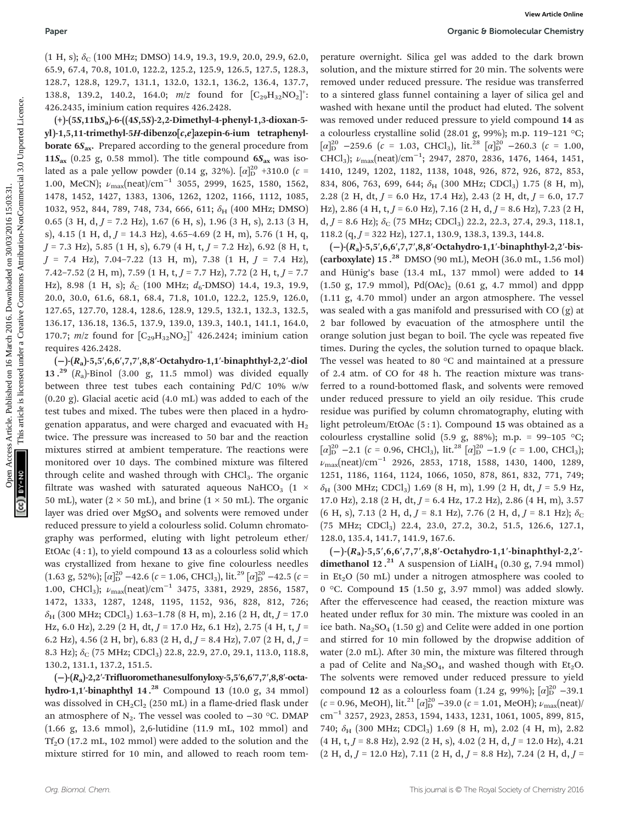$(1 H, s); \delta_C (100 MHz; DMSO)$  14.9, 19.3, 19.9, 20.0, 29.9, 62.0, 65.9, 67.4, 70.8, 101.0, 122.2, 125.2, 125.9, 126.5, 127.5, 128.3, 128.7, 128.8, 129.7, 131.1, 132.0, 132.1, 136.2, 136.4, 137.7, 138.8, 139.2, 140.2, 164.0;  $m/z$  found for  $[C_{29}H_{32}NO_2]$ <sup>+</sup>: 426.2435, iminium cation requires 426.2428.

(+)-(5S,11bSa)-6-((4S,5S)-2,2-Dimethyl-4-phenyl-1,3-dioxan-5 yl)-1,5,11-trimethyl-5H-dibenzo[c,e]azepin-6-ium tetraphenyl**borate**  $6S_{ax}$ **.** Prepared according to the general procedure from 11 $S_{\text{ax}}$  (0.25 g, 0.58 mmol). The title compound  $6S_{\text{ax}}$  was isolated as a pale yellow powder (0.14 g, 32%).  $[\alpha]_{\rm D}^{20}$  +310.0 ( $c$  = 1.00, MeCN);  $\nu_{\text{max}}(\text{neat})/\text{cm}^{-1}$  3055, 2999, 1625, 1580, 1562, 1478, 1452, 1427, 1383, 1306, 1262, 1202, 1166, 1112, 1085, 1032, 952, 844, 789, 748, 734, 666, 611; δH (400 MHz; DMSO) 0.65 (3 H, d,  $J = 7.2$  Hz), 1.67 (6 H, s), 1.96 (3 H, s), 2.13 (3 H, s), 4.15 (1 H, d,  $J = 14.3$  Hz), 4.65-4.69 (2 H, m), 5.76 (1 H, q,  $J = 7.3$  Hz), 5.85 (1 H, s), 6.79 (4 H, t,  $J = 7.2$  Hz), 6.92 (8 H, t,  $J = 7.4$  Hz),  $7.04 - 7.22$  (13 H, m),  $7.38$  (1 H,  $J = 7.4$  Hz), 7.42-7.52 (2 H, m), 7.59 (1 H, t,  $J = 7.7$  Hz), 7.72 (2 H, t,  $J = 7.7$ Hz), 8.98 (1 H, s);  $\delta_C$  (100 MHz;  $d_6$ -DMSO) 14.4, 19.3, 19.9, 20.0, 30.0, 61.6, 68.1, 68.4, 71.8, 101.0, 122.2, 125.9, 126.0, 127.65, 127.70, 128.4, 128.6, 128.9, 129.5, 132.1, 132.3, 132.5, 136.17, 136.18, 136.5, 137.9, 139.0, 139.3, 140.1, 141.1, 164.0, 170.7;  $m/z$  found for  $[C_{29}H_{32}NO_2]^+$  426.2424; iminium cation requires 426.2428.

(−)-(Ra)-5,5′,6,6′,7,7′,8,8′-Octahydro-1,1′-binaphthyl-2,2′-diol 13.<sup>29</sup>  $(R_a)$ -Binol (3.00 g, 11.5 mmol) was divided equally between three test tubes each containing Pd/C 10% w/w (0.20 g). Glacial acetic acid (4.0 mL) was added to each of the test tubes and mixed. The tubes were then placed in a hydrogenation apparatus, and were charged and evacuated with  $H_2$ twice. The pressure was increased to 50 bar and the reaction mixtures stirred at ambient temperature. The reactions were monitored over 10 days. The combined mixture was filtered through celite and washed through with  $CHCl<sub>3</sub>$ . The organic filtrate was washed with saturated aqueous NaHCO<sub>3</sub> (1  $\times$ 50 mL), water ( $2 \times 50$  mL), and brine ( $1 \times 50$  mL). The organic layer was dried over MgSO<sub>4</sub> and solvents were removed under reduced pressure to yield a colourless solid. Column chromatography was performed, eluting with light petroleum ether/ EtOAc  $(4:1)$ , to yield compound 13 as a colourless solid which was crystallized from hexane to give fine colourless needles (1.63 g, 52%);  $\lbrack \alpha \rbrack^{20}$  –42.6 (c = 1.06, CHCl<sub>3</sub>), lit.<sup>29</sup>  $\lbrack \alpha \rbrack^{20}$  –42.5 (c = 1.00, CHCl<sub>3</sub>);  $\nu_{\text{max}}(\text{neat})/\text{cm}^{-1}$  3475, 3381, 2929, 2856, 1587, 1472, 1333, 1287, 1248, 1195, 1152, 936, 828, 812, 726;  $\delta_H$  (300 MHz; CDCl<sub>3</sub>) 1.63-1.78 (8 H, m), 2.16 (2 H, dt, J = 17.0) Hz, 6.0 Hz), 2.29 (2 H, dt,  $J = 17.0$  Hz, 6.1 Hz), 2.75 (4 H, t,  $J =$ 6.2 Hz), 4.56 (2 H, br), 6.83 (2 H, d,  $J = 8.4$  Hz), 7.07 (2 H, d,  $J =$ 8.3 Hz);  $\delta_C$  (75 MHz; CDCl<sub>3</sub>) 22.8, 22.9, 27.0, 29.1, 113.0, 118.8, 130.2, 131.1, 137.2, 151.5.

(−)-(Ra)-2,2′-Trifluoromethanesulfonyloxy-5,5′6,6′7,7′,8,8′-octahydro-1,1′-binaphthyl 14.<sup>28</sup> Compound 13 (10.0 g, 34 mmol) was dissolved in  $CH_2Cl_2$  (250 mL) in a flame-dried flask under an atmosphere of  $N_2$ . The vessel was cooled to −30 °C. DMAP (1.66 g, 13.6 mmol), 2,6-lutidine (11.9 mL, 102 mmol) and  $Tf<sub>2</sub>O$  (17.2 mL, 102 mmol) were added to the solution and the mixture stirred for 10 min, and allowed to reach room tem-

perature overnight. Silica gel was added to the dark brown solution, and the mixture stirred for 20 min. The solvents were removed under reduced pressure. The residue was transferred to a sintered glass funnel containing a layer of silica gel and washed with hexane until the product had eluted. The solvent was removed under reduced pressure to yield compound 14 as a colourless crystalline solid (28.01 g, 99%); m.p. 119–121 °C;  $[\alpha]_{\text{D}}^{20}$  -259.6 (c = 1.03, CHCl<sub>3</sub>), lit.<sup>28</sup>  $[\alpha]_{\text{D}}^{20}$  -260.3 (c = 1.00, CHCl<sub>3</sub>);  $\nu_{\text{max}}(\text{neat})/\text{cm}^{-1}$ ; 2947, 2870, 2836, 1476, 1464, 1451, 1410, 1249, 1202, 1182, 1138, 1048, 926, 872, 926, 872, 853, 834, 806, 763, 699, 644;  $\delta_H$  (300 MHz; CDCl<sub>3</sub>) 1.75 (8 H, m), 2.28 (2 H, dt,  $J = 6.0$  Hz, 17.4 Hz), 2.43 (2 H, dt,  $J = 6.0$ , 17.7 Hz), 2.86 (4 H, t,  $J = 6.0$  Hz), 7.16 (2 H, d,  $J = 8.6$  Hz), 7.23 (2 H, d,  $J = 8.6$  Hz);  $\delta_C$  (75 MHz; CDCl<sub>3</sub>) 22.2, 22.3, 27.4, 29.3, 118.1, 118.2 (q,  $J = 322$  Hz), 127.1, 130.9, 138.3, 139.3, 144.8.

(−)-(Ra)-5,5′,6,6′,7,7′,8,8′-Octahydro-1,1′-binaphthyl-2,2′-bis- (carboxylate)  $15.^{28}$  DMSO (90 mL), MeOH (36.0 mL, 1.56 mol) and Hünig's base (13.4 mL, 137 mmol) were added to 14  $(1.50 \text{ g}, 17.9 \text{ mmol})$ ,  $Pd(OAc)_2$   $(0.61 \text{ g}, 4.7 \text{ mmol})$  and dppp (1.11 g, 4.70 mmol) under an argon atmosphere. The vessel was sealed with a gas manifold and pressurised with CO (g) at 2 bar followed by evacuation of the atmosphere until the orange solution just began to boil. The cycle was repeated five times. During the cycles, the solution turned to opaque black. The vessel was heated to 80 °C and maintained at a pressure of 2.4 atm. of CO for 48 h. The reaction mixture was transferred to a round-bottomed flask, and solvents were removed under reduced pressure to yield an oily residue. This crude residue was purified by column chromatography, eluting with light petroleum/EtOAc (5 : 1). Compound 15 was obtained as a colourless crystalline solid (5.9 g, 88%); m.p. = 99-105 °C;  $[\alpha]_{\text{D}}^{20}$  –2.1 (c = 0.96, CHCl<sub>3</sub>), lit.<sup>28</sup>  $[\alpha]_{\text{D}}^{20}$  –1.9 (c = 1.00, CHCl<sub>3</sub>); νmax(neat)/cm<sup>−</sup><sup>1</sup> 2926, 2853, 1718, 1588, 1430, 1400, 1289, 1251, 1186, 1164, 1124, 1066, 1050, 878, 861, 832, 771, 749;  $\delta_H$  (300 MHz; CDCl<sub>3</sub>) 1.69 (8 H, m), 1.99 (2 H, dt, J = 5.9 Hz, 17.0 Hz), 2.18 (2 H, dt,  $J = 6.4$  Hz, 17.2 Hz), 2.86 (4 H, m), 3.57 (6 H, s), 7.13 (2 H, d,  $J = 8.1$  Hz), 7.76 (2 H, d,  $J = 8.1$  Hz);  $\delta$ <sub>C</sub> (75 MHz; CDCl3) 22.4, 23.0, 27.2, 30.2, 51.5, 126.6, 127.1, 128.0, 135.4, 141.7, 141.9, 167.6. Paper<br>
(1 H, si;  $\delta_1$  (100 MHz; DM30) 113, 13.3, 13.9, 20.0, 33.9, 42.0, 12march corrulate. Since a sided on ite fact knows<br>
15%,  $\delta_2$ ,  $\delta_3$ ,  $\delta_4$ ,  $\delta_1$ ,  $\delta_2$ ,  $\delta_3$ ,  $\delta_4$ ,  $\delta_5$ ,  $\delta_4$ ,  $\delta_5$ ,  $\delta_6$ ,

> (−)-(Ra)-5,5′,6,6′,7,7′,8,8′-Octahydro-1,1′-binaphthyl-2,2′ **dimethanol 12.**<sup>21</sup> A suspension of LiAlH<sub>4</sub> (0.30 g, 7.94 mmol) in  $Et<sub>2</sub>O$  (50 mL) under a nitrogen atmosphere was cooled to 0 °C. Compound 15 (1.50 g, 3.97 mmol) was added slowly. After the effervescence had ceased, the reaction mixture was heated under reflux for 30 min. The mixture was cooled in an ice bath.  $\text{Na}_2\text{SO}_4$  (1.50 g) and Celite were added in one portion and stirred for 10 min followed by the dropwise addition of water (2.0 mL). After 30 min, the mixture was filtered through a pad of Celite and  $Na<sub>2</sub>SO<sub>4</sub>$ , and washed though with Et<sub>2</sub>O. The solvents were removed under reduced pressure to yield compound 12 as a colourless foam (1.24 g, 99%);  $[\alpha]_D^{20}$  -39.1  $(c = 0.96, \text{ MeOH})$ , lit.<sup>21</sup>  $[\alpha]_D^{20}$  –39.0  $(c = 1.01, \text{ MeOH})$ ;  $\nu_{\text{max}}(\text{neat})$  $\text{cm}^{-1}$  3257, 2923, 2853, 1594, 1433, 1231, 1061, 1005, 899, 815, 740;  $\delta_H$  (300 MHz; CDCl<sub>3</sub>) 1.69 (8 H, m), 2.02 (4 H, m), 2.82  $(4 H, t, J = 8.8 Hz)$ , 2.92  $(2 H, s)$ , 4.02  $(2 H, d, J = 12.0 Hz)$ , 4.21  $(2 \text{ H}, \text{ d}, J = 12.0 \text{ Hz})$ , 7.11  $(2 \text{ H}, \text{ d}, J = 8.8 \text{ Hz})$ , 7.24  $(2 \text{ H}, \text{ d}, J =$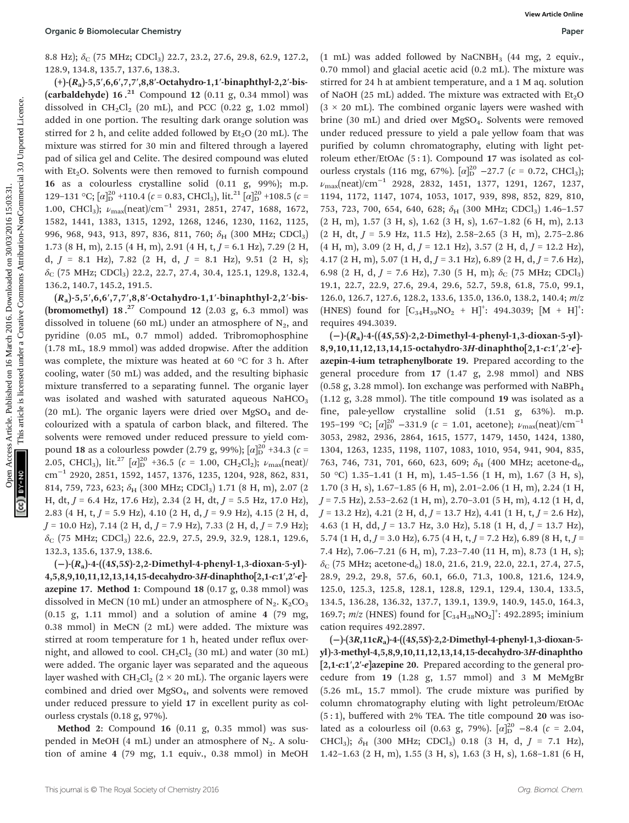8.8 Hz);  $\delta_c$  (75 MHz; CDCl<sub>3</sub>) 22.7, 23.2, 27.6, 29.8, 62.9, 127.2, 128.9, 134.8, 135.7, 137.6, 138.3.

(+)-(Ra)-5,5′,6,6′,7,7′,8,8′-Octahydro-1,1′-binaphthyl-2,2′-bis- (carbaldehyde)  $16.^{21}$  Compound  $12$  (0.11 g, 0.34 mmol) was dissolved in  $CH_2Cl_2$  (20 mL), and PCC (0.22 g, 1.02 mmol) added in one portion. The resulting dark orange solution was stirred for 2 h, and celite added followed by  $Et<sub>2</sub>O$  (20 mL). The mixture was stirred for 30 min and filtered through a layered pad of silica gel and Celite. The desired compound was eluted with  $Et<sub>2</sub>O$ . Solvents were then removed to furnish compound 16 as a colourless crystalline solid (0.11 g, 99%); m.p. 129–131 °C;  $[\alpha]_D^{20}$  +110.4 ( $c$  = 0.83, CHCl<sub>3</sub>), lit.<sup>21</sup>  $[\alpha]_D^{20}$  +108.5 ( $c$  = 1.00, CHCl<sub>3</sub>);  $\nu_{\text{max}}(\text{neat})/\text{cm}^{-1}$  2931, 2851, 2747, 1688, 1672, 1582, 1441, 1383, 1315, 1292, 1268, 1246, 1230, 1162, 1125, 996, 968, 943, 913, 897, 836, 811, 760; δ<sub>H</sub> (300 MHz; CDCl<sub>3</sub>) 1.73 (8 H, m), 2.15 (4 H, m), 2.91 (4 H, t, J = 6.1 Hz), 7.29 (2 H, d,  $J = 8.1$  Hz), 7.82 (2 H, d,  $J = 8.1$  Hz), 9.51 (2 H, s);  $\delta_C$  (75 MHz; CDCl<sub>3</sub>) 22.2, 22.7, 27.4, 30.4, 125.1, 129.8, 132.4, 136.2, 140.7, 145.2, 191.5.

 $(R_a)$ -5,5',6,6',7,7',8,8'-Octahydro-1,1'-binaphthyl-2,2'-bis-(bromomethyl)  $18.^{27}$  Compound  $12$  (2.03 g, 6.3 mmol) was dissolved in toluene (60 mL) under an atmosphere of  $N_2$ , and pyridine (0.05 mL, 0.7 mmol) added. Tribromophosphine (1.78 mL, 18.9 mmol) was added dropwise. After the addition was complete, the mixture was heated at 60 °C for 3 h. After cooling, water (50 mL) was added, and the resulting biphasic mixture transferred to a separating funnel. The organic layer was isolated and washed with saturated aqueous  $NaHCO<sub>3</sub>$ (20 mL). The organic layers were dried over  $MgSO<sub>4</sub>$  and decolourized with a spatula of carbon black, and filtered. The solvents were removed under reduced pressure to yield compound 18 as a colourless powder (2.79 g, 99%);  $[\alpha]_{\text{D}}^{20}$  +34.3 ( $c$  = 2.05, CHCl<sub>3</sub>), lit.<sup>27</sup>  $[\alpha]_D^{20}$  +36.5 ( $c = 1.00$ , CH<sub>2</sub>Cl<sub>2</sub>);  $\nu_{\text{max}}(\text{neat})$ cm−<sup>1</sup> 2920, 2851, 1592, 1457, 1376, 1235, 1204, 928, 862, 831, 814, 759, 723, 623;  $\delta_H$  (300 MHz; CDCl<sub>3</sub>) 1.71 (8 H, m), 2.07 (2) H, dt,  $J = 6.4$  Hz, 17.6 Hz), 2.34 (2 H, dt,  $J = 5.5$  Hz, 17.0 Hz), 2.83 (4 H, t,  $J = 5.9$  Hz), 4.10 (2 H, d,  $J = 9.9$  Hz), 4.15 (2 H, d,  $J = 10.0$  Hz), 7.14 (2 H, d,  $J = 7.9$  Hz), 7.33 (2 H, d,  $J = 7.9$  Hz);  $\delta_C$  (75 MHz; CDCl<sub>3</sub>) 22.6, 22.9, 27.5, 29.9, 32.9, 128.1, 129.6, 132.3, 135.6, 137.9, 138.6.

 $(-)$ - $(R_a)$ -4- $((4S,5S)$ -2,2-Dimethyl-4-phenyl-1,3-dioxan-5-yl)-4,5,8,9,10,11,12,13,14,15-decahydro-3H-dinaphtho[2,1-c:1′,2′-e] azepine 17. Method 1: Compound 18  $(0.17 \text{ g}, 0.38 \text{ mmol})$  was dissolved in MeCN (10 mL) under an atmosphere of  $N_2$ . K<sub>2</sub>CO<sub>3</sub>  $(0.15 \text{ g}, 1.11 \text{ mmol})$  and a solution of amine 4 (79 mg, 0.38 mmol) in MeCN (2 mL) were added. The mixture was stirred at room temperature for 1 h, heated under reflux overnight, and allowed to cool.  $CH_2Cl_2$  (30 mL) and water (30 mL) were added. The organic layer was separated and the aqueous layer washed with  $CH_2Cl_2$  (2 × 20 mL). The organic layers were combined and dried over MgSO4, and solvents were removed under reduced pressure to yield 17 in excellent purity as colourless crystals (0.18 g, 97%).

Method 2: Compound 16 (0.11 g, 0.35 mmol) was suspended in MeOH (4 mL) under an atmosphere of  $N_2$ . A solution of amine 4 (79 mg, 1.1 equiv., 0.38 mmol) in MeOH

 $(1 \text{ mL})$  was added followed by NaCNBH<sub>3</sub>  $(44 \text{ mg}, 2 \text{ equiv.})$ 0.70 mmol) and glacial acetic acid (0.2 mL). The mixture was stirred for 24 h at ambient temperature, and a 1 M aq. solution of NaOH (25 mL) added. The mixture was extracted with  $Et<sub>2</sub>O$  $(3 \times 20$  mL). The combined organic layers were washed with brine (30 mL) and dried over MgSO<sub>4</sub>. Solvents were removed under reduced pressure to yield a pale yellow foam that was purified by column chromatography, eluting with light petroleum ether/EtOAc (5 : 1). Compound 17 was isolated as colourless crystals (116 mg, 67%).  $[\alpha]_{D}^{20}$  –27.7 ( $c = 0.72$ , CHCl<sub>3</sub>);  $\nu_{\text{max}}(\text{neat})/\text{cm}^{-1}$  2928, 2832, 1451, 1377, 1291, 1267, 1237, 1194, 1172, 1147, 1074, 1053, 1017, 939, 898, 852, 829, 810, 753, 723, 700, 654, 640, 628; δH (300 MHz; CDCl<sub>3</sub>) 1.46-1.57 (2 H, m), 1.57 (3 H, s), 1.62 (3 H, s), 1.67–1.82 (6 H, m), 2.13  $(2 H, dt, J = 5.9 Hz, 11.5 Hz), 2.58-2.65 (3 H, m), 2.75-2.86$  $(4 \text{ H, m}), 3.09 \ (2 \text{ H, d}, J = 12.1 \text{ Hz}), 3.57 \ (2 \text{ H, d}, J = 12.2 \text{ Hz}),$ 4.17 (2 H, m), 5.07 (1 H, d,  $J = 3.1$  Hz), 6.89 (2 H, d,  $J = 7.6$  Hz), 6.98 (2 H, d,  $J = 7.6$  Hz), 7.30 (5 H, m);  $\delta_C$  (75 MHz; CDCl<sub>3</sub>) 19.1, 22.7, 22.9, 27.6, 29.4, 29.6, 52.7, 59.8, 61.8, 75.0, 99.1, 126.0, 126.7, 127.6, 128.2, 133.6, 135.0, 136.0, 138.2, 140.4; m/z  $(HNES)$  found for  $[C_{34}H_{39}NO_2 + H]^+$ : 494.3039;  $[M + H]^+$ : requires 494.3039. Open C B Glomolecular Chemistry<br>
Sa High (176 MHz, CDC5) 22.3, 23.2, 25.8, 33.3, 127.2, 11 mL) was added allowsed by NaCABH. (14 mg, 2 equiv,<br>
124, 13.2, 137, 137, 138, 33.4, 200 and 2016. Downloaded particle is licensed

(−)-(Ra)-4-((4S,5S)-2,2-Dimethyl-4-phenyl-1,3-dioxan-5-yl)- 8,9,10,11,12,13,14,15-octahydro-3H-dinaphtho[2,1-c:1′,2′-e] azepin-4-ium tetraphenylborate 19. Prepared according to the general procedure from 17 (1.47 g, 2.98 mmol) and NBS  $(0.58 \text{ g}, 3.28 \text{ mmol})$ . Ion exchange was performed with NaBPh<sub>4</sub> (1.12 g, 3.28 mmol). The title compound 19 was isolated as a fine, pale-yellow crystalline solid (1.51 g, 63%). m.p. 195–199 °C;  $[\alpha]_D^{20}$  –331.9 (c = 1.01, acetone);  $\nu_{\text{max}}(\text{neat})/\text{cm}^{-1}$ 3053, 2982, 2936, 2864, 1615, 1577, 1479, 1450, 1424, 1380, 1304, 1263, 1235, 1198, 1107, 1083, 1010, 954, 941, 904, 835, 763, 746, 731, 701, 660, 623, 609;  $\delta_H$  (400 MHz; acetone-d<sub>6</sub>, 50 °C) 1.35–1.41 (1 H, m), 1.45–1.56 (1 H, m), 1.67 (3 H, s), 1.70 (3 H, s), 1.67–1.85 (6 H, m), 2.01–2.06 (1 H, m), 2.24 (1 H,  $J = 7.5$  Hz), 2.53–2.62 (1 H, m), 2.70–3.01 (5 H, m), 4.12 (1 H, d,  $J = 13.2$  Hz), 4.21 (2 H, d,  $J = 13.7$  Hz), 4.41 (1 H, t,  $J = 2.6$  Hz), 4.63 (1 H, dd,  $J = 13.7$  Hz, 3.0 Hz), 5.18 (1 H, d,  $J = 13.7$  Hz), 5.74 (1 H, d,  $J = 3.0$  Hz), 6.75 (4 H, t,  $J = 7.2$  Hz), 6.89 (8 H, t,  $J =$ 7.4 Hz), 7.06–7.21 (6 H, m), 7.23–7.40 (11 H, m), 8.73 (1 H, s);  $\delta$ <sub>C</sub> (75 MHz; acetone-d<sub>6</sub>) 18.0, 21.6, 21.9, 22.0, 22.1, 27.4, 27.5, 28.9, 29.2, 29.8, 57.6, 60.1, 66.0, 71.3, 100.8, 121.6, 124.9, 125.0, 125.3, 125.8, 128.1, 128.8, 129.1, 129.4, 130.4, 133.5, 134.5, 136.28, 136.32, 137.7, 139.1, 139.9, 140.9, 145.0, 164.3, 169.7;  $m/z$  (HNES) found for  $[C_{34}H_{38}NO_2]^2$ : 492.2895; iminium cation requires 492.2897.

(−)-(3R,11cRa)-4-((4S,5S)-2,2-Dimethyl-4-phenyl-1,3-dioxan-5 yl)-3-methyl-4,5,8,9,10,11,12,13,14,15-decahydro-3H-dinaphtho [2,1-c:1′,2′-e]azepine 20. Prepared according to the general procedure from 19 (1.28 g, 1.57 mmol) and 3 M MeMgBr (5.26 mL, 15.7 mmol). The crude mixture was purified by column chromatography eluting with light petroleum/EtOAc  $(5:1)$ , buffered with 2% TEA. The title compound 20 was isolated as a colourless oil (0.63 g, 79%).  $[\alpha]_D^{20}$  -8.4 ( $c = 2.04$ , CHCl<sub>3</sub>);  $\delta_{H}$  (300 MHz; CDCl<sub>3</sub>) 0.18 (3 H, d,  $J = 7.1$  Hz), 1.42–1.63 (2 H, m), 1.55 (3 H, s), 1.63 (3 H, s), 1.68–1.81 (6 H,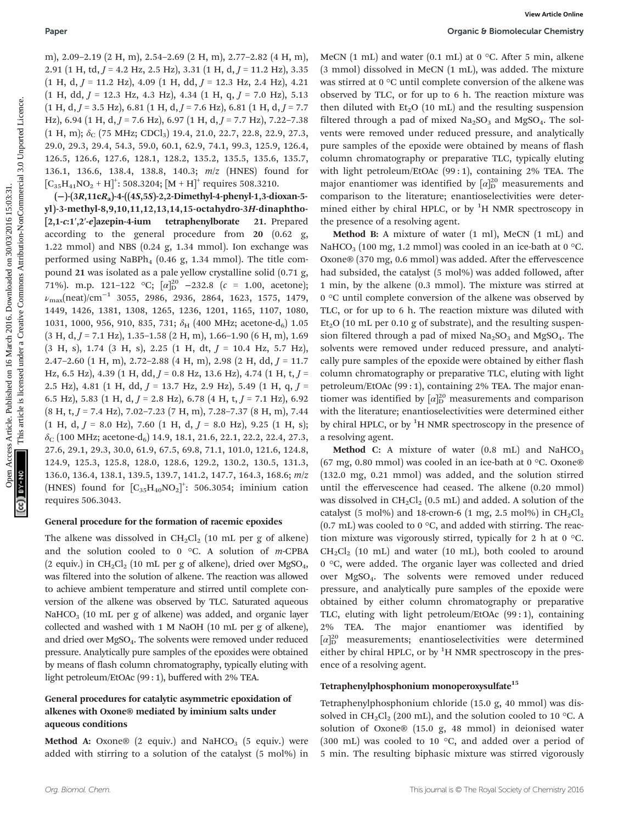m), 2.09–2.19 (2 H, m), 2.54–2.69 (2 H, m), 2.77–2.82 (4 H, m), 2.91 (1 H, td,  $J = 4.2$  Hz, 2.5 Hz), 3.31 (1 H, d,  $J = 11.2$  Hz), 3.35  $(1 H, d, J = 11.2 Hz)$ , 4.09  $(1 H, dd, J = 12.3 Hz, 2.4 Hz)$ , 4.21  $(1 \text{ H}, \text{ dd}, J = 12.3 \text{ Hz}, 4.3 \text{ Hz}), 4.34 (1 \text{ H}, q, J = 7.0 \text{ Hz}), 5.13$  $(1 H, d, J = 3.5 Hz)$ , 6.81  $(1 H, d, J = 7.6 Hz)$ , 6.81  $(1 H, d, J = 7.7$ Hz), 6.94 (1 H, d,  $J = 7.6$  Hz), 6.97 (1 H, d,  $J = 7.7$  Hz), 7.22–7.38  $(1 H, m); \delta_C (75 MHz; CDCl_3) 19.4, 21.0, 22.7, 22.8, 22.9, 27.3,$ 29.0, 29.3, 29.4, 54.3, 59.0, 60.1, 62.9, 74.1, 99.3, 125.9, 126.4, 126.5, 126.6, 127.6, 128.1, 128.2, 135.2, 135.5, 135.6, 135.7, 136.1, 136.6, 138.4, 138.8, 140.3; m/z (HNES) found for  $\left[\text{C}_{35}\text{H}_{41}\text{NO}_2 + \text{H}\right]^+$ : 508.3204;  $\left[\text{M} + \text{H}\right]^+$  requires 508.3210.

(−)-(3R,11cRa)-4-((4S,5S)-2,2-Dimethyl-4-phenyl-1,3-dioxan-5 yl )-3-methyl-8,9,10,11,12,13,14,15-octahydro-3H-dinaphtho- [2,1-c:1′,2′-e]azepin-4-ium tetraphenylborate 21. Prepared according to the general procedure from 20 (0.62 g, 1.22 mmol) and NBS (0.24 g, 1.34 mmol). Ion exchange was performed using  $NaBPh_4$  (0.46 g, 1.34 mmol). The title compound 21 was isolated as a pale yellow crystalline solid (0.71 g, 71%). m.p. 121-122 °C;  $\left[\alpha\right]_D^{20}$  -232.8 ( $c = 1.00$ , acetone); νmax(neat)/cm<sup>−</sup><sup>1</sup> 3055, 2986, 2936, 2864, 1623, 1575, 1479, 1449, 1426, 1381, 1308, 1265, 1236, 1201, 1165, 1107, 1080, 1031, 1000, 956, 910, 835, 731;  $\delta_H$  (400 MHz; acetone-d<sub>6</sub>) 1.05  $(3 H, d, J = 7.1 Hz)$ , 1.35-1.58  $(2 H, m)$ , 1.66-1.90  $(6 H, m)$ , 1.69  $(3 H, s)$ , 1.74  $(3 H, s)$ , 2.25  $(1 H, dt, J = 10.4 Hz, 5.7 Hz)$ , 2.47–2.60 (1 H, m), 2.72–2.88 (4 H, m), 2.98 (2 H, dd,  $J = 11.7$ Hz, 6.5 Hz), 4.39 (1 H, dd,  $J = 0.8$  Hz, 13.6 Hz), 4.74 (1 H, t,  $J =$ 2.5 Hz), 4.81 (1 H, dd,  $J = 13.7$  Hz, 2.9 Hz), 5.49 (1 H, q,  $J =$ 6.5 Hz), 5.83 (1 H, d,  $J = 2.8$  Hz), 6.78 (4 H, t,  $J = 7.1$  Hz), 6.92  $(8 \text{ H}, \text{ t}, J = 7.4 \text{ Hz})$ , 7.02–7.23 (7 H, m), 7.28–7.37 (8 H, m), 7.44  $(1 \text{ H}, \text{ d}, J = 8.0 \text{ Hz})$ , 7.60  $(1 \text{ H}, \text{ d}, J = 8.0 \text{ Hz})$ , 9.25  $(1 \text{ H}, \text{ s})$ ;  $\delta_C$  (100 MHz; acetone-d<sub>6</sub>) 14.9, 18.1, 21.6, 22.1, 22.2, 22.4, 27.3, 27.6, 29.1, 29.3, 30.0, 61.9, 67.5, 69.8, 71.1, 101.0, 121.6, 124.8, 124.9, 125.3, 125.8, 128.0, 128.6, 129.2, 130.2, 130.5, 131.3, 136.0, 136.4, 138.1, 139.5, 139.7, 141.2, 147.7, 164.3, 168.6; m/z (HNES) found for  $[C_{35}H_{40}NO_2]^{\dagger}$ : 506.3054; iminium cation requires 506.3043. Paper<br>  $\frac{1}{2}$  Creative 3.1 (11, 2, 23-1-3, 2013), 3.1 (11, 3, 3) (11, 3, 3) (11, 3) and wated in MeCF (1 mL) as 0 °C. After 5 min. allocated the sinking the sinking in MeCF (11, 3, 30 (11, 4, 3 - 11, 4, 3 - 11, 4, 3 -

#### General procedure for the formation of racemic epoxides

The alkene was dissolved in  $CH_2Cl_2$  (10 mL per g of alkene) and the solution cooled to 0  $\degree$ C. A solution of m-CPBA (2 equiv.) in  $CH_2Cl_2$  (10 mL per g of alkene), dried over MgSO<sub>4</sub>, was filtered into the solution of alkene. The reaction was allowed to achieve ambient temperature and stirred until complete conversion of the alkene was observed by TLC. Saturated aqueous NaHCO<sub>3</sub> (10 mL per g of alkene) was added, and organic layer collected and washed with 1 M NaOH (10 mL per g of alkene), and dried over MgSO4. The solvents were removed under reduced pressure. Analytically pure samples of the epoxides were obtained by means of flash column chromatography, typically eluting with light petroleum/EtOAc (99 : 1), buffered with 2% TEA.

#### General procedures for catalytic asymmetric epoxidation of alkenes with Oxone® mediated by iminium salts under aqueous conditions

**Method A:** Oxone® (2 equiv.) and NaHCO<sub>3</sub> (5 equiv.) were added with stirring to a solution of the catalyst (5 mol%) in MeCN  $(1 \text{ mL})$  and water  $(0.1 \text{ mL})$  at  $0 \text{ }^{\circ}\text{C}$ . After 5 min, alkene (3 mmol) dissolved in MeCN (1 mL), was added. The mixture was stirred at 0 °C until complete conversion of the alkene was observed by TLC, or for up to 6 h. The reaction mixture was then diluted with  $Et<sub>2</sub>O$  (10 mL) and the resulting suspension filtered through a pad of mixed  $Na<sub>2</sub>SO<sub>3</sub>$  and MgSO<sub>4</sub>. The solvents were removed under reduced pressure, and analytically pure samples of the epoxide were obtained by means of flash column chromatography or preparative TLC, typically eluting with light petroleum/EtOAc (99 : 1), containing 2% TEA. The major enantiomer was identified by  $\lbrack \alpha \rbrack_{D}^{20}$  measurements and comparison to the literature; enantioselectivities were determined either by chiral HPLC, or by <sup>1</sup>H NMR spectroscopy in the presence of a resolving agent.

Method B: A mixture of water (1 ml), MeCN (1 mL) and NaHCO<sub>3</sub> (100 mg, 1.2 mmol) was cooled in an ice-bath at 0 °C. Oxone® (370 mg, 0.6 mmol) was added. After the effervescence had subsided, the catalyst (5 mol%) was added followed, after 1 min, by the alkene (0.3 mmol). The mixture was stirred at 0 °C until complete conversion of the alkene was observed by TLC, or for up to 6 h. The reaction mixture was diluted with  $Et<sub>2</sub>O$  (10 mL per 0.10 g of substrate), and the resulting suspension filtered through a pad of mixed  $Na<sub>2</sub>SO<sub>3</sub>$  and  $MgSO<sub>4</sub>$ . The solvents were removed under reduced pressure, and analytically pure samples of the epoxide were obtained by either flash column chromatography or preparative TLC, eluting with light petroleum/EtOAc (99 : 1), containing 2% TEA. The major enantiomer was identified by  $\left[\alpha\right]_D^{20}$  measurements and comparison with the literature; enantioselectivities were determined either by chiral HPLC, or by <sup>1</sup>H NMR spectroscopy in the presence of a resolving agent.

**Method C:** A mixture of water  $(0.8 \text{ mL})$  and NaHCO<sub>3</sub> (67 mg, 0.80 mmol) was cooled in an ice-bath at 0 °C. Oxone® (132.0 mg, 0.21 mmol) was added, and the solution stirred until the effervescence had ceased. The alkene (0.20 mmol) was dissolved in  $CH_2Cl_2$  (0.5 mL) and added. A solution of the catalyst (5 mol%) and 18-crown-6 (1 mg, 2.5 mol%) in  $CH_2Cl_2$  $(0.7 \text{ mL})$  was cooled to 0 °C, and added with stirring. The reaction mixture was vigorously stirred, typically for 2 h at 0 °C.  $CH_2Cl_2$  (10 mL) and water (10 mL), both cooled to around 0 °C, were added. The organic layer was collected and dried over MgSO4. The solvents were removed under reduced pressure, and analytically pure samples of the epoxide were obtained by either column chromatography or preparative TLC, eluting with light petroleum/EtOAc (99 : 1), containing 2% TEA. The major enantiomer was identified by  $[\alpha]_D^{20}$  measurements; enantioselectivities were determined either by chiral HPLC, or by <sup>1</sup>H NMR spectroscopy in the presence of a resolving agent.

#### Tetraphenylphosphonium monoperoxysulfate<sup>15</sup>

Tetraphenylphosphonium chloride (15.0 g, 40 mmol) was dissolved in  $CH_2Cl_2$  (200 mL), and the solution cooled to 10 °C. A solution of Oxone® (15.0 g, 48 mmol) in deionised water (300 mL) was cooled to 10 °C, and added over a period of 5 min. The resulting biphasic mixture was stirred vigorously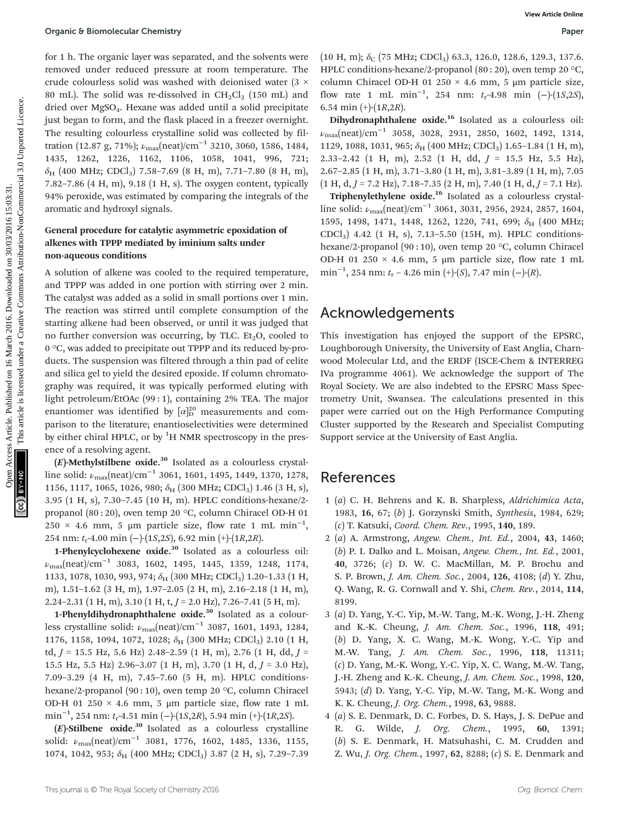for 1 h. The organic layer was separated, and the solvents were removed under reduced pressure at room temperature. The crude colourless solid was washed with deionised water (3 × 80 mL). The solid was re-dissolved in  $CH_2Cl_2$  (150 mL) and dried over MgSO4. Hexane was added until a solid precipitate just began to form, and the flask placed in a freezer overnight. The resulting colourless crystalline solid was collected by filtration (12.87 g, 71%);  $\nu_{\text{max}}(\text{neat})/\text{cm}^{-1}$  3210, 3060, 1586, 1484, 1435, 1262, 1226, 1162, 1106, 1058, 1041, 996, 721;  $\delta_H$  (400 MHz; CDCl<sub>3</sub>) 7.58–7.69 (8 H, m), 7.71–7.80 (8 H, m), 7.82–7.86 (4 H, m), 9.18 (1 H, s). The oxygen content, typically 94% peroxide, was estimated by comparing the integrals of the aromatic and hydroxyl signals.

#### General procedure for catalytic asymmetric epoxidation of alkenes with TPPP mediated by iminium salts under non-aqueous conditions

A solution of alkene was cooled to the required temperature, and TPPP was added in one portion with stirring over 2 min. The catalyst was added as a solid in small portions over 1 min. The reaction was stirred until complete consumption of the starting alkene had been observed, or until it was judged that no further conversion was occurring, by TLC. Et<sub>2</sub>O, cooled to 0 °C, was added to precipitate out TPPP and its reduced by-products. The suspension was filtered through a thin pad of celite and silica gel to yield the desired epoxide. If column chromatography was required, it was typically performed eluting with light petroleum/EtOAc (99 : 1), containing 2% TEA. The major enantiomer was identified by  $\left[\alpha\right]_D^{20}$  measurements and comparison to the literature; enantioselectivities were determined by either chiral HPLC, or by <sup>1</sup>H NMR spectroscopy in the presence of a resolving agent. Open C Bornolecular Chemistry<br>
for 1 h. The cognitic method pressure at non sequence in the 116 Consideration elements and the solution elements and the common March 2016. Due to the thermal of the common Access Article i

 $(E)$ -Methylstilbene oxide.<sup>30</sup> Isolated as a colourless crystalline solid:  $\nu_{\text{max}}(\text{neat})/\text{cm}^{-1}$  3061, 1601, 1495, 1449, 1370, 1278, 1156, 1117, 1065, 1026, 980;  $\delta_H$  (300 MHz; CDCl<sub>3</sub>) 1.46 (3 H, s), 3.95 (1 H, s), 7.30–7.45 (10 H, m). HPLC conditions-hexane/2 propanol (80 : 20), oven temp 20 °C, column Chiracel OD-H 01  $250 \times 4.6$  mm, 5 µm particle size, flow rate 1 mL min<sup>-1</sup>, 254 nm:  $t_r$ -4.00 min (-)-(1*S*,2*S*), 6.92 min (+)-(1*R*,2*R*).

1-Phenylcyclohexene oxide. $30$  Isolated as a colourless oil:  $\nu_{\text{max}}$ (neat)/cm<sup>-1</sup> 3083, 1602, 1495, 1445, 1359, 1248, 1174, 1133, 1078, 1030, 993, 974;  $\delta_H$  (300 MHz; CDCl<sub>3</sub>) 1.20-1.33 (1 H, m), 1.51–1.62 (3 H, m), 1.97–2.05 (2 H, m), 2.16–2.18 (1 H, m), 2.24–2.31 (1 H, m), 3.10 (1 H, t,  $J = 2.0$  Hz), 7.26–7.41 (5 H, m).

1-Phenyldihydronaphthalene oxide.<sup>30</sup> Isolated as a colourless crystalline solid:  $\nu_{\text{max}}(\text{neat})/\text{cm}^{-1}$  3087, 1601, 1493, 1284, 1176, 1158, 1094, 1072, 1028;  $\delta_H$  (300 MHz; CDCl<sub>3</sub>) 2.10 (1 H, td,  $J = 15.5$  Hz, 5.6 Hz) 2.48-2.59 (1 H, m), 2.76 (1 H, dd,  $J =$ 15.5 Hz, 5.5 Hz) 2.96-3.07 (1 H, m), 3.70 (1 H, d,  $J = 3.0$  Hz), 7.09–3.29 (4 H, m), 7.45–7.60 (5 H, m). HPLC conditionshexane/2-propanol (90 : 10), oven temp 20 °C, column Chiracel OD-H 01 250  $\times$  4.6 mm, 5 µm particle size, flow rate 1 mL min<sup>-1</sup>, 254 nm: t<sub>r</sub>-4.51 min (−)-(1*S*,2*R*), 5.94 min (+)-(1*R*,2*S*).

 $(E)$ -Stilbene oxide.<sup>30</sup> Isolated as a colourless crystalline solid:  $\nu_{\text{max}}(\text{neat})/\text{cm}^{-1}$  3081, 1776, 1602, 1485, 1336, 1155, 1074, 1042, 953;  $\delta_H$  (400 MHz; CDCl<sub>3</sub>) 3.87 (2 H, s), 7.29-7.39

 $(10 \text{ H}, \text{m})$ ;  $\delta_C$  (75 MHz; CDCl<sub>3</sub>) 63.3, 126.0, 128.6, 129.3, 137.6. HPLC conditions-hexane/2-propanol (80 : 20), oven temp 20 °C, column Chiracel OD-H 01 250 × 4.6 mm, 5 μm particle size, flow rate 1 mL min<sup>-1</sup>, 254 nm: t<sub>r</sub>-4.98 min (-)-(1S,2S), 6.54 min  $(+)$ - $(1R, 2R)$ .

Dihydronaphthalene oxide.<sup>16</sup> Isolated as a colourless oil:  $\nu_{\text{max}}(\text{neat})/\text{cm}^{-1}$  3058, 3028, 2931, 2850, 1602, 1492, 1314, 1129, 1088, 1031, 965;  $\delta_H$  (400 MHz; CDCl<sub>3</sub>) 1.65-1.84 (1 H, m), 2.33–2.42 (1 H, m), 2.52 (1 H, dd,  $J = 15.5$  Hz, 5.5 Hz), 2.67–2.85 (1 H, m), 3.71–3.80 (1 H, m), 3.81–3.89 (1 H, m), 7.05  $(1 H, d, J = 7.2 Hz)$ , 7.18–7.35  $(2 H, m)$ , 7.40  $(1 H, d, J = 7.1 Hz)$ .

Triphenylethylene oxide.<sup>16</sup> Isolated as a colourless crystalline solid:  $\nu_{\text{max}}(\text{neat})/\text{cm}^{-1}$  3061, 3031, 2956, 2924, 2857, 1604, 1595, 1498, 1471, 1448, 1262, 1220, 741, 699;  $\delta_{\rm H}$  (400 MHz; CDCl3) 4.42 (1 H, s), 7.13–5.50 (15H, m). HPLC conditionshexane/2-propanol (90 : 10), oven temp 20 °C, column Chiracel OD-H 01 250  $\times$  4.6 mm, 5 µm particle size, flow rate 1 mL min<sup>-1</sup>, 254 nm: t<sub>r</sub> - 4.26 min (+)-(S), 7.47 min (-)-(R).

## Acknowledgements

This investigation has enjoyed the support of the EPSRC, Loughborough University, the University of East Anglia, Charnwood Molecular Ltd, and the ERDF (ISCE-Chem & INTERREG IVa programme 4061). We acknowledge the support of The Royal Society. We are also indebted to the EPSRC Mass Spectrometry Unit, Swansea. The calculations presented in this paper were carried out on the High Performance Computing Cluster supported by the Research and Specialist Computing Support service at the University of East Anglia.

### References

- 1 (a) C. H. Behrens and K. B. Sharpless, Aldrichimica Acta, 1983, 16, 67; (b) J. Gorzynski Smith, Synthesis, 1984, 629; (c) T. Katsuki, Coord. Chem. Rev., 1995, 140, 189.
- 2 (a) A. Armstrong, Angew. Chem., Int. Ed., 2004, 43, 1460; (b) P. I. Dalko and L. Moisan, Angew. Chem., Int. Ed., 2001, 40, 3726; (c) D. W. C. MacMillan, M. P. Brochu and S. P. Brown, J. Am. Chem. Soc., 2004, 126, 4108; (d) Y. Zhu, Q. Wang, R. G. Cornwall and Y. Shi, Chem. Rev., 2014, 114, 8199.
- 3 (a) D. Yang, Y.-C. Yip, M.-W. Tang, M.-K. Wong, J.-H. Zheng and K.-K. Cheung, J. Am. Chem. Soc., 1996, 118, 491; (b) D. Yang, X. C. Wang, M.-K. Wong, Y.-C. Yip and M.-W. Tang, J. Am. Chem. Soc., 1996, 118, 11311; (c) D. Yang, M.-K. Wong, Y.-C. Yip, X. C. Wang, M.-W. Tang, J.-H. Zheng and K.-K. Cheung, J. Am. Chem. Soc., 1998, 120, 5943; (d) D. Yang, Y.-C. Yip, M.-W. Tang, M.-K. Wong and K. K. Cheung, J. Org. Chem., 1998, 63, 9888.
- 4 (a) S. E. Denmark, D. C. Forbes, D. S. Hays, J. S. DePue and R. G. Wilde, J. Org. Chem., 1995, 60, 1391; (b) S. E. Denmark, H. Matsuhashi, C. M. Crudden and Z. Wu, J. Org. Chem., 1997, 62, 8288; (c) S. E. Denmark and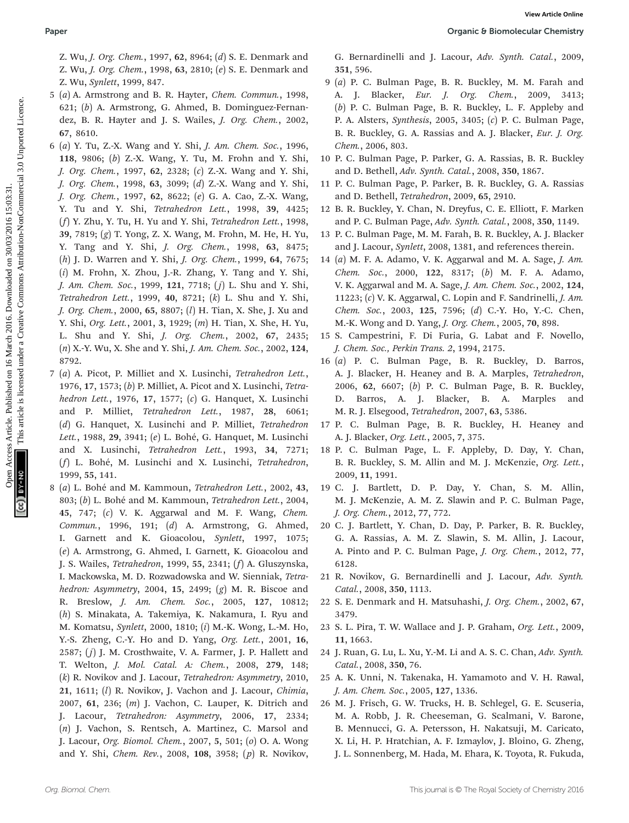Z. Wu, J. Org. Chem., 1997, 62, 8964; (d) S. E. Denmark and Z. Wu, J. Org. Chem., 1998, 63, 2810; (e) S. E. Denmark and Z. Wu, Synlett, 1999, 847.

- 5 (a) A. Armstrong and B. R. Hayter, Chem. Commun., 1998, 621; (b) A. Armstrong, G. Ahmed, B. Dominguez-Fernandez, B. R. Hayter and J. S. Wailes, J. Org. Chem., 2002, 67, 8610.
- 6 (a) Y. Tu, Z.-X. Wang and Y. Shi, J. Am. Chem. Soc., 1996, 118, 9806; (b) Z.-X. Wang, Y. Tu, M. Frohn and Y. Shi, J. Org. Chem., 1997, 62, 2328; (c) Z.-X. Wang and Y. Shi, J. Org. Chem., 1998, 63, 3099; (d) Z.-X. Wang and Y. Shi, J. Org. Chem., 1997, 62, 8622; (e) G. A. Cao, Z.-X. Wang, Y. Tu and Y. Shi, Tetrahedron Lett., 1998, 39, 4425; (f) Y. Zhu, Y. Tu, H. Yu and Y. Shi, Tetrahedron Lett., 1998, 39, 7819; (g) T. Yong, Z. X. Wang, M. Frohn, M. He, H. Yu, Y. Tang and Y. Shi, J. Org. Chem., 1998, 63, 8475; (h) J. D. Warren and Y. Shi, J. Org. Chem., 1999, 64, 7675; (i) M. Frohn, X. Zhou, J.-R. Zhang, Y. Tang and Y. Shi, J. Am. Chem. Soc., 1999, 121, 7718; ( j) L. Shu and Y. Shi, Tetrahedron Lett., 1999, 40, 8721; (k) L. Shu and Y. Shi, J. Org. Chem., 2000, 65, 8807; (l) H. Tian, X. She, J. Xu and Y. Shi, Org. Lett., 2001, 3, 1929; (m) H. Tian, X. She, H. Yu, L. Shu and Y. Shi, J. Org. Chem., 2002, 67, 2435; (n) X.-Y. Wu, X. She and Y. Shi, J. Am. Chem. Soc., 2002, 124, 8792. Paper<br>
2. Wu<sub>t</sub>, Org. Chem., 1997, **62**, 8961; (f) S. E. Demanik and<br>
2. Wut, *Synch.* Cased, 2008<br>
2. Wut, Synch. Downloaded on 16 March 2016. The unit of the New York. Demand Page, B. H. Beredet, M. B. Herech 2016.<br>
2. C
	- 7 (a) A. Picot, P. Milliet and X. Lusinchi, Tetrahedron Lett., 1976, 17, 1573; (b) P. Milliet, A. Picot and X. Lusinchi, Tetrahedron Lett., 1976, 17, 1577; (c) G. Hanquet, X. Lusinchi and P. Milliet, Tetrahedron Lett., 1987, 28, 6061; (d) G. Hanquet, X. Lusinchi and P. Milliet, Tetrahedron Lett., 1988, 29, 3941; (e) L. Bohé, G. Hanquet, M. Lusinchi and X. Lusinchi, Tetrahedron Lett., 1993, 34, 7271; (f) L. Bohé, M. Lusinchi and X. Lusinchi, Tetrahedron, 1999, 55, 141.
	- 8 (a) L. Bohé and M. Kammoun, Tetrahedron Lett., 2002, 43, 803; (b) L. Bohé and M. Kammoun, Tetrahedron Lett., 2004, 45, 747; (c) V. K. Aggarwal and M. F. Wang, Chem. Commun., 1996, 191; (d) A. Armstrong, G. Ahmed, I. Garnett and K. Gioacolou, Synlett, 1997, 1075; (e) A. Armstrong, G. Ahmed, I. Garnett, K. Gioacolou and J. S. Wailes, Tetrahedron, 1999, 55, 2341; (f) A. Gluszynska, I. Mackowska, M. D. Rozwadowska and W. Sienniak, Tetrahedron: Asymmetry, 2004, 15, 2499;  $(g)$  M. R. Biscoe and R. Breslow, J. Am. Chem. Soc., 2005, 127, 10812; (h) S. Minakata, A. Takemiya, K. Nakamura, I. Ryu and M. Komatsu, Synlett, 2000, 1810; (i) M.-K. Wong, L.-M. Ho, Y.-S. Zheng, C.-Y. Ho and D. Yang, Org. Lett., 2001, 16, 2587;  $(j)$  J. M. Crosthwaite, V. A. Farmer, J. P. Hallett and T. Welton, J. Mol. Catal. A: Chem., 2008, 279, 148; (k) R. Novikov and J. Lacour, Tetrahedron: Asymmetry, 2010, 21, 1611; (l) R. Novikov, J. Vachon and J. Lacour, Chimia, 2007, 61, 236; (m) J. Vachon, C. Lauper, K. Ditrich and J. Lacour, Tetrahedron: Asymmetry, 2006, 17, 2334; (n) J. Vachon, S. Rentsch, A. Martinez, C. Marsol and J. Lacour, Org. Biomol. Chem., 2007, 5, 501; (o) O. A. Wong and Y. Shi, Chem. Rev., 2008, 108, 3958; (p) R. Novikov,

G. Bernardinelli and J. Lacour, Adv. Synth. Catal., 2009, 351, 596.

- 9 (a) P. C. Bulman Page, B. R. Buckley, M. M. Farah and A. J. Blacker, *Eur. J. Org. Chem.*, 2009, 3413; (b) P. C. Bulman Page, B. R. Buckley, L. F. Appleby and P. A. Alsters, Synthesis, 2005, 3405; (c) P. C. Bulman Page, B. R. Buckley, G. A. Rassias and A. J. Blacker, Eur. J. Org. Chem., 2006, 803.
- 10 P. C. Bulman Page, P. Parker, G. A. Rassias, B. R. Buckley and D. Bethell, Adv. Synth. Catal., 2008, 350, 1867.
- 11 P. C. Bulman Page, P. Parker, B. R. Buckley, G. A. Rassias and D. Bethell, Tetrahedron, 2009, 65, 2910.
- 12 B. R. Buckley, Y. Chan, N. Dreyfus, C. E. Elliott, F. Marken and P. C. Bulman Page, Adv. Synth. Catal., 2008, 350, 1149.
- 13 P. C. Bulman Page, M. M. Farah, B. R. Buckley, A. J. Blacker and J. Lacour, Synlett, 2008, 1381, and references therein.
- 14 (a) M. F. A. Adamo, V. K. Aggarwal and M. A. Sage, J. Am. Chem. Soc., 2000, 122, 8317; (b) M. F. A. Adamo, V. K. Aggarwal and M. A. Sage, J. Am. Chem. Soc., 2002, 124, 11223;  $(c)$  V. K. Aggarwal, C. Lopin and F. Sandrinelli, *J. Am.* Chem. Soc., 2003, 125, 7596; (d) C.-Y. Ho, Y.-C. Chen, M.-K. Wong and D. Yang, J. Org. Chem., 2005, 70, 898.
- 15 S. Campestrini, F. Di Furia, G. Labat and F. Novello, J. Chem. Soc., Perkin Trans. 2, 1994, 2175.
- 16 (a) P. C. Bulman Page, B. R. Buckley, D. Barros, A. J. Blacker, H. Heaney and B. A. Marples, Tetrahedron, 2006, 62, 6607; (b) P. C. Bulman Page, B. R. Buckley, D. Barros, A. J. Blacker, B. A. Marples and M. R. J. Elsegood, Tetrahedron, 2007, 63, 5386.
- 17 P. C. Bulman Page, B. R. Buckley, H. Heaney and A. J. Blacker, Org. Lett., 2005, 7, 375.
- 18 P. C. Bulman Page, L. F. Appleby, D. Day, Y. Chan, B. R. Buckley, S. M. Allin and M. J. McKenzie, Org. Lett., 2009, 11, 1991.
- 19 C. J. Bartlett, D. P. Day, Y. Chan, S. M. Allin, M. J. McKenzie, A. M. Z. Slawin and P. C. Bulman Page, J. Org. Chem., 2012, 77, 772.
- 20 C. J. Bartlett, Y. Chan, D. Day, P. Parker, B. R. Buckley, G. A. Rassias, A. M. Z. Slawin, S. M. Allin, J. Lacour, A. Pinto and P. C. Bulman Page, J. Org. Chem., 2012, 77, 6128.
- 21 R. Novikov, G. Bernardinelli and J. Lacour, Adv. Synth. Catal., 2008, 350, 1113.
- 22 S. E. Denmark and H. Matsuhashi, J. Org. Chem., 2002, 67, 3479.
- 23 S. L. Pira, T. W. Wallace and J. P. Graham, Org. Lett., 2009, 11, 1663.
- 24 J. Ruan, G. Lu, L. Xu, Y.-M. Li and A. S. C. Chan, Adv. Synth. Catal., 2008, 350, 76.
- 25 A. K. Unni, N. Takenaka, H. Yamamoto and V. H. Rawal, J. Am. Chem. Soc., 2005, 127, 1336.
- 26 M. J. Frisch, G. W. Trucks, H. B. Schlegel, G. E. Scuseria, M. A. Robb, J. R. Cheeseman, G. Scalmani, V. Barone, B. Mennucci, G. A. Petersson, H. Nakatsuji, M. Caricato, X. Li, H. P. Hratchian, A. F. Izmaylov, J. Bloino, G. Zheng, J. L. Sonnenberg, M. Hada, M. Ehara, K. Toyota, R. Fukuda,